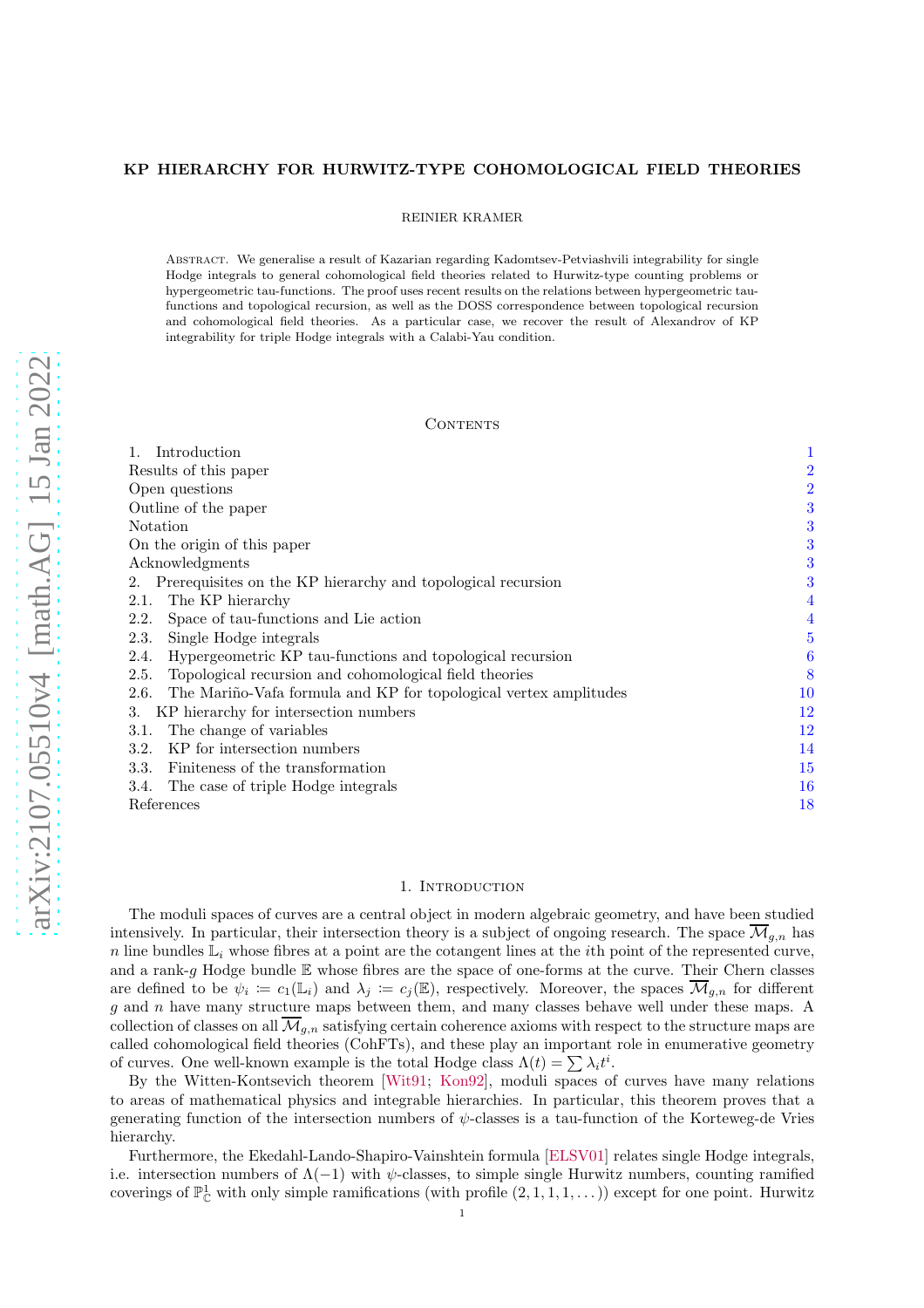## KP HIERARCHY FOR HURWITZ-TYPE COHOMOLOGICAL FIELD THEORIES

REINIER KRAMER

Abstract. We generalise a result of Kazarian regarding Kadomtsev-Petviashvili integrability for single Hodge integrals to general cohomological field theories related to Hurwitz-type counting problems or hypergeometric tau-functions. The proof uses recent results on the relations between hypergeometric taufunctions and topological recursion, as well as the DOSS correspondence between topological recursion and cohomological field theories. As a particular case, we recover the result of Alexandrov of KP integrability for triple Hodge integrals with a Calabi-Yau condition.

### CONTENTS

| Introduction                                                             | 1              |
|--------------------------------------------------------------------------|----------------|
| Results of this paper                                                    | $\overline{2}$ |
| Open questions                                                           | $\overline{2}$ |
| Outline of the paper                                                     | 3              |
| Notation                                                                 | 3              |
| On the origin of this paper                                              | 3              |
| Acknowledgments                                                          | 3              |
| 2. Prerequisites on the KP hierarchy and topological recursion           | 3              |
| The KP hierarchy<br>2.1.                                                 | 4              |
| Space of tau-functions and Lie action<br>2.2.                            | $\overline{4}$ |
| Single Hodge integrals<br>2.3.                                           | 5              |
| Hypergeometric KP tau-functions and topological recursion<br>2.4.        | 6              |
| Topological recursion and cohomological field theories<br>2.5.           | 8              |
| The Mariño-Vafa formula and KP for topological vertex amplitudes<br>2.6. | $10\,$         |
| KP hierarchy for intersection numbers<br>3.                              | 12             |
| The change of variables<br>3.1.                                          | $12\,$         |
| KP for intersection numbers<br>3.2.                                      | 14             |
| Finiteness of the transformation<br>3.3.                                 | 15             |
| The case of triple Hodge integrals<br>3.4.                               | 16             |
| References                                                               | 18             |

# 1. INTRODUCTION

<span id="page-0-0"></span>The moduli spaces of curves are a central object in modern algebraic geometry, and have been studied intensively. In particular, their intersection theory is a subject of ongoing research. The space  $\overline{\mathcal{M}}_{q,n}$  has n line bundles  $\mathbb{L}_i$  whose fibres at a point are the cotangent lines at the *i*th point of the represented curve, and a rank-g Hodge bundle  $E$  whose fibres are the space of one-forms at the curve. Their Chern classes are defined to be  $\psi_i := c_1(\mathbb{L}_i)$  and  $\lambda_j := c_j(\mathbb{E})$ , respectively. Moreover, the spaces  $\overline{\mathcal{M}}_{g,n}$  for different  $g$  and  $n$  have many structure maps between them, and many classes behave well under these maps. A collection of classes on all  $\overline{\mathcal{M}}_{g,n}$  satisfying certain coherence axioms with respect to the structure maps are called cohomological field theories (CohFTs), and these play an important role in enumerative geometry of curves. One well-known example is the total Hodge class  $\Lambda(t) = \sum \lambda_i t^i$ .

By the Witten-Kontsevich theorem [\[Wit91](#page-20-0); [Kon92\]](#page-19-0), moduli spaces of curves have many relations to areas of mathematical physics and integrable hierarchies. In particular, this theorem proves that a generating function of the intersection numbers of  $\psi$ -classes is a tau-function of the Korteweg-de Vries hierarchy.

Furthermore, the Ekedahl-Lando-Shapiro-Vainshtein formula [\[ELSV01\]](#page-18-0) relates single Hodge integrals, i.e. intersection numbers of  $\Lambda(-1)$  with  $\psi$ -classes, to simple single Hurwitz numbers, counting ramified coverings of  $\mathbb{P}^1_{\mathbb{C}}$  with only simple ramifications (with profile  $(2,1,1,1,\ldots)$ ) except for one point. Hurwitz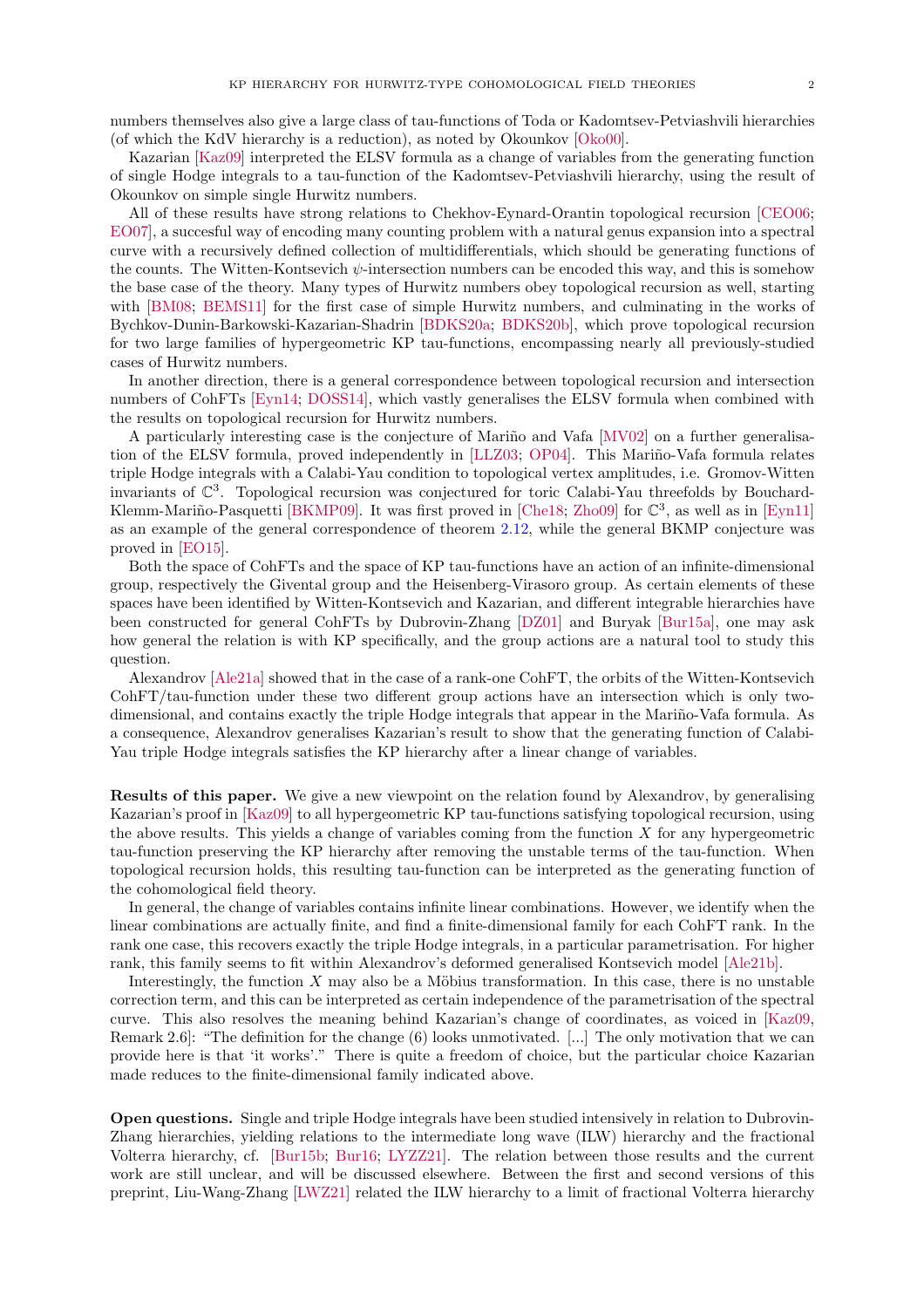numbers themselves also give a large class of tau-functions of Toda or Kadomtsev-Petviashvili hierarchies (of which the KdV hierarchy is a reduction), as noted by Okounkov [\[Oko00\]](#page-19-1).

Kazarian [\[Kaz09](#page-19-2)] interpreted the ELSV formula as a change of variables from the generating function of single Hodge integrals to a tau-function of the Kadomtsev-Petviashvili hierarchy, using the result of Okounkov on simple single Hurwitz numbers.

All of these results have strong relations to Chekhov-Eynard-Orantin topological recursion [\[CEO06;](#page-18-1) [EO07\]](#page-18-2), a succesful way of encoding many counting problem with a natural genus expansion into a spectral curve with a recursively defined collection of multidifferentials, which should be generating functions of the counts. The Witten-Kontsevich  $\psi$ -intersection numbers can be encoded this way, and this is somehow the base case of the theory. Many types of Hurwitz numbers obey topological recursion as well, starting with [\[BM08](#page-18-3); [BEMS11](#page-17-1)] for the first case of simple Hurwitz numbers, and culminating in the works of Bychkov-Dunin-Barkowski-Kazarian-Shadrin [\[BDKS20a;](#page-17-2) [BDKS20b\]](#page-17-3), which prove topological recursion for two large families of hypergeometric KP tau-functions, encompassing nearly all previously-studied cases of Hurwitz numbers.

In another direction, there is a general correspondence between topological recursion and intersection numbers of CohFTs [\[Eyn14;](#page-18-4) [DOSS14\]](#page-18-5), which vastly generalises the ELSV formula when combined with the results on topological recursion for Hurwitz numbers.

A particularly interesting case is the conjecture of Mariño and Vafa [\[MV02\]](#page-19-3) on a further generalisa-tion of the ELSV formula, proved independently in [\[LLZ03;](#page-19-4) [OP04\]](#page-19-5). This Mariño-Vafa formula relates triple Hodge integrals with a Calabi-Yau condition to topological vertex amplitudes, i.e. Gromov-Witten invariants of  $\mathbb{C}^3$ . Topological recursion was conjectured for toric Calabi-Yau threefolds by Bouchard-Klemm-Mariño-Pasquetti [\[BKMP09\]](#page-17-4). It was first proved in [\[Che18](#page-18-6); [Zho09\]](#page-20-1) for  $\mathbb{C}^3$ , as well as in [\[Eyn11\]](#page-18-7) as an example of the general correspondence of theorem [2.12,](#page-7-1) while the general BKMP conjecture was proved in [\[EO15](#page-18-8)].

Both the space of CohFTs and the space of KP tau-functions have an action of an infinite-dimensional group, respectively the Givental group and the Heisenberg-Virasoro group. As certain elements of these spaces have been identified by Witten-Kontsevich and Kazarian, and different integrable hierarchies have been constructed for general CohFTs by Dubrovin-Zhang [\[DZ01\]](#page-18-9) and Buryak [\[Bur15a\]](#page-18-10), one may ask how general the relation is with KP specifically, and the group actions are a natural tool to study this question.

Alexandrov [\[Ale21a\]](#page-17-5) showed that in the case of a rank-one CohFT, the orbits of the Witten-Kontsevich CohFT/tau-function under these two different group actions have an intersection which is only twodimensional, and contains exactly the triple Hodge integrals that appear in the Mariño-Vafa formula. As a consequence, Alexandrov generalises Kazarian's result to show that the generating function of Calabi-Yau triple Hodge integrals satisfies the KP hierarchy after a linear change of variables.

<span id="page-1-0"></span>Results of this paper. We give a new viewpoint on the relation found by Alexandrov, by generalising Kazarian's proof in [\[Kaz09\]](#page-19-2) to all hypergeometric KP tau-functions satisfying topological recursion, using the above results. This yields a change of variables coming from the function  $X$  for any hypergeometric tau-function preserving the KP hierarchy after removing the unstable terms of the tau-function. When topological recursion holds, this resulting tau-function can be interpreted as the generating function of the cohomological field theory.

In general, the change of variables contains infinite linear combinations. However, we identify when the linear combinations are actually finite, and find a finite-dimensional family for each CohFT rank. In the rank one case, this recovers exactly the triple Hodge integrals, in a particular parametrisation. For higher rank, this family seems to fit within Alexandrov's deformed generalised Kontsevich model [\[Ale21b\]](#page-17-6).

Interestingly, the function  $X$  may also be a Möbius transformation. In this case, there is no unstable correction term, and this can be interpreted as certain independence of the parametrisation of the spectral curve. This also resolves the meaning behind Kazarian's change of coordinates, as voiced in [\[Kaz09,](#page-19-2) Remark 2.6]: "The definition for the change (6) looks unmotivated. [...] The only motivation that we can provide here is that 'it works'." There is quite a freedom of choice, but the particular choice Kazarian made reduces to the finite-dimensional family indicated above.

<span id="page-1-1"></span>Open questions. Single and triple Hodge integrals have been studied intensively in relation to Dubrovin-Zhang hierarchies, yielding relations to the intermediate long wave (ILW) hierarchy and the fractional Volterra hierarchy, cf. [\[Bur15b;](#page-18-11) [Bur16;](#page-18-12) [LYZZ21](#page-19-6)]. The relation between those results and the current work are still unclear, and will be discussed elsewhere. Between the first and second versions of this preprint, Liu-Wang-Zhang [\[LWZ21\]](#page-19-7) related the ILW hierarchy to a limit of fractional Volterra hierarchy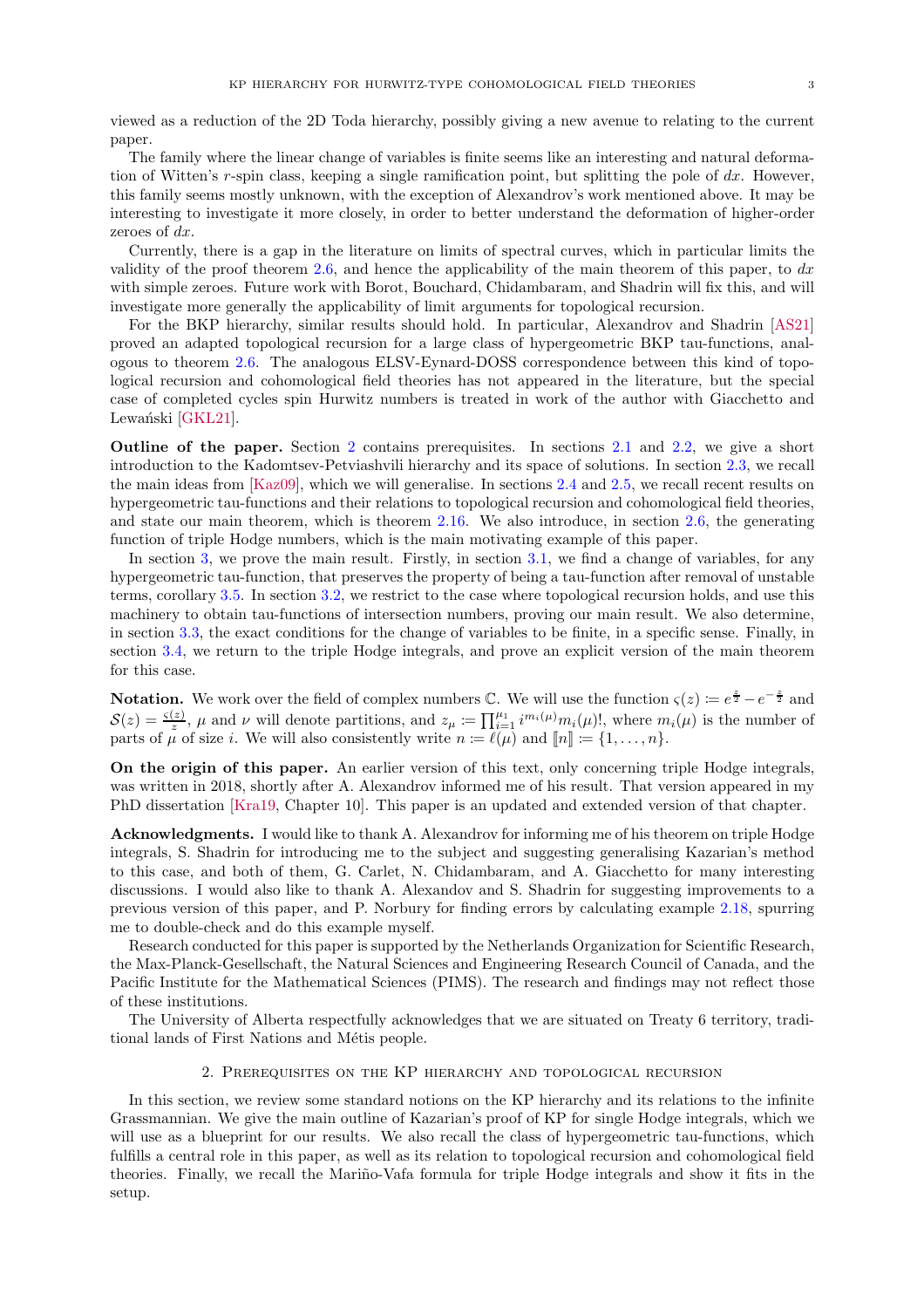viewed as a reduction of the 2D Toda hierarchy, possibly giving a new avenue to relating to the current paper.

The family where the linear change of variables is finite seems like an interesting and natural deformation of Witten's r-spin class, keeping a single ramification point, but splitting the pole of  $dx$ . However, this family seems mostly unknown, with the exception of Alexandrov's work mentioned above. It may be interesting to investigate it more closely, in order to better understand the deformation of higher-order zeroes of dx.

Currently, there is a gap in the literature on limits of spectral curves, which in particular limits the validity of the proof theorem [2.6,](#page-5-1) and hence the applicability of the main theorem of this paper, to  $dx$ with simple zeroes. Future work with Borot, Bouchard, Chidambaram, and Shadrin will fix this, and will investigate more generally the applicability of limit arguments for topological recursion.

For the BKP hierarchy, similar results should hold. In particular, Alexandrov and Shadrin [\[AS21\]](#page-17-7) proved an adapted topological recursion for a large class of hypergeometric BKP tau-functions, analogous to theorem [2.6.](#page-5-1) The analogous ELSV-Eynard-DOSS correspondence between this kind of topological recursion and cohomological field theories has not appeared in the literature, but the special case of completed cycles spin Hurwitz numbers is treated in work of the author with Giacchetto and Lewański [\[GKL21\]](#page-19-8).

<span id="page-2-0"></span>Outline of the paper. Section [2](#page-2-4) contains prerequisites. In sections [2.1](#page-3-0) and [2.2,](#page-3-1) we give a short introduction to the Kadomtsev-Petviashvili hierarchy and its space of solutions. In section [2.3,](#page-4-0) we recall the main ideas from [\[Kaz09\]](#page-19-2), which we will generalise. In sections [2.4](#page-5-0) and [2.5,](#page-7-0) we recall recent results on hypergeometric tau-functions and their relations to topological recursion and cohomological field theories, and state our main theorem, which is theorem [2.16.](#page-8-0) We also introduce, in section [2.6,](#page-9-0) the generating function of triple Hodge numbers, which is the main motivating example of this paper.

In section [3,](#page-11-0) we prove the main result. Firstly, in section [3.1,](#page-11-1) we find a change of variables, for any hypergeometric tau-function, that preserves the property of being a tau-function after removal of unstable terms, corollary [3.5.](#page-13-1) In section [3.2,](#page-13-0) we restrict to the case where topological recursion holds, and use this machinery to obtain tau-functions of intersection numbers, proving our main result. We also determine, in section [3.3,](#page-14-0) the exact conditions for the change of variables to be finite, in a specific sense. Finally, in section [3.4,](#page-15-0) we return to the triple Hodge integrals, and prove an explicit version of the main theorem for this case.

<span id="page-2-1"></span>**Notation.** We work over the field of complex numbers  $\mathbb{C}$ . We will use the function  $\varsigma(z) \coloneqq e^{\frac{z}{2}} - e^{-\frac{z}{2}}$  and  $S(z) = \frac{\varsigma(z)}{z}$ ,  $\mu$  and  $\nu$  will denote partitions, and  $z_{\mu} := \prod_{i=1}^{\mu_1} i^{m_i(\mu)} m_i(\mu)!,$  where  $m_i(\mu)$  is the number of parts of  $\mu$  of size i. We will also consistently write  $n \coloneqq \ell(\mu)$  and  $[\![n]\!] \coloneqq \{1, \ldots, n\}.$ 

<span id="page-2-2"></span>On the origin of this paper. An earlier version of this text, only concerning triple Hodge integrals, was written in 2018, shortly after A. Alexandrov informed me of his result. That version appeared in my PhD dissertation [\[Kra19,](#page-19-9) Chapter 10]. This paper is an updated and extended version of that chapter.

<span id="page-2-3"></span>Acknowledgments. I would like to thank A. Alexandrov for informing me of his theorem on triple Hodge integrals, S. Shadrin for introducing me to the subject and suggesting generalising Kazarian's method to this case, and both of them, G. Carlet, N. Chidambaram, and A. Giacchetto for many interesting discussions. I would also like to thank A. Alexandov and S. Shadrin for suggesting improvements to a previous version of this paper, and P. Norbury for finding errors by calculating example [2.18,](#page-8-1) spurring me to double-check and do this example myself.

Research conducted for this paper is supported by the Netherlands Organization for Scientific Research, the Max-Planck-Gesellschaft, the Natural Sciences and Engineering Research Council of Canada, and the Pacific Institute for the Mathematical Sciences (PIMS). The research and findings may not reflect those of these institutions.

<span id="page-2-4"></span>The University of Alberta respectfully acknowledges that we are situated on Treaty 6 territory, traditional lands of First Nations and Métis people.

2. Prerequisites on the KP hierarchy and topological recursion

In this section, we review some standard notions on the KP hierarchy and its relations to the infinite Grassmannian. We give the main outline of Kazarian's proof of KP for single Hodge integrals, which we will use as a blueprint for our results. We also recall the class of hypergeometric tau-functions, which fulfills a central role in this paper, as well as its relation to topological recursion and cohomological field theories. Finally, we recall the Mariño-Vafa formula for triple Hodge integrals and show it fits in the setup.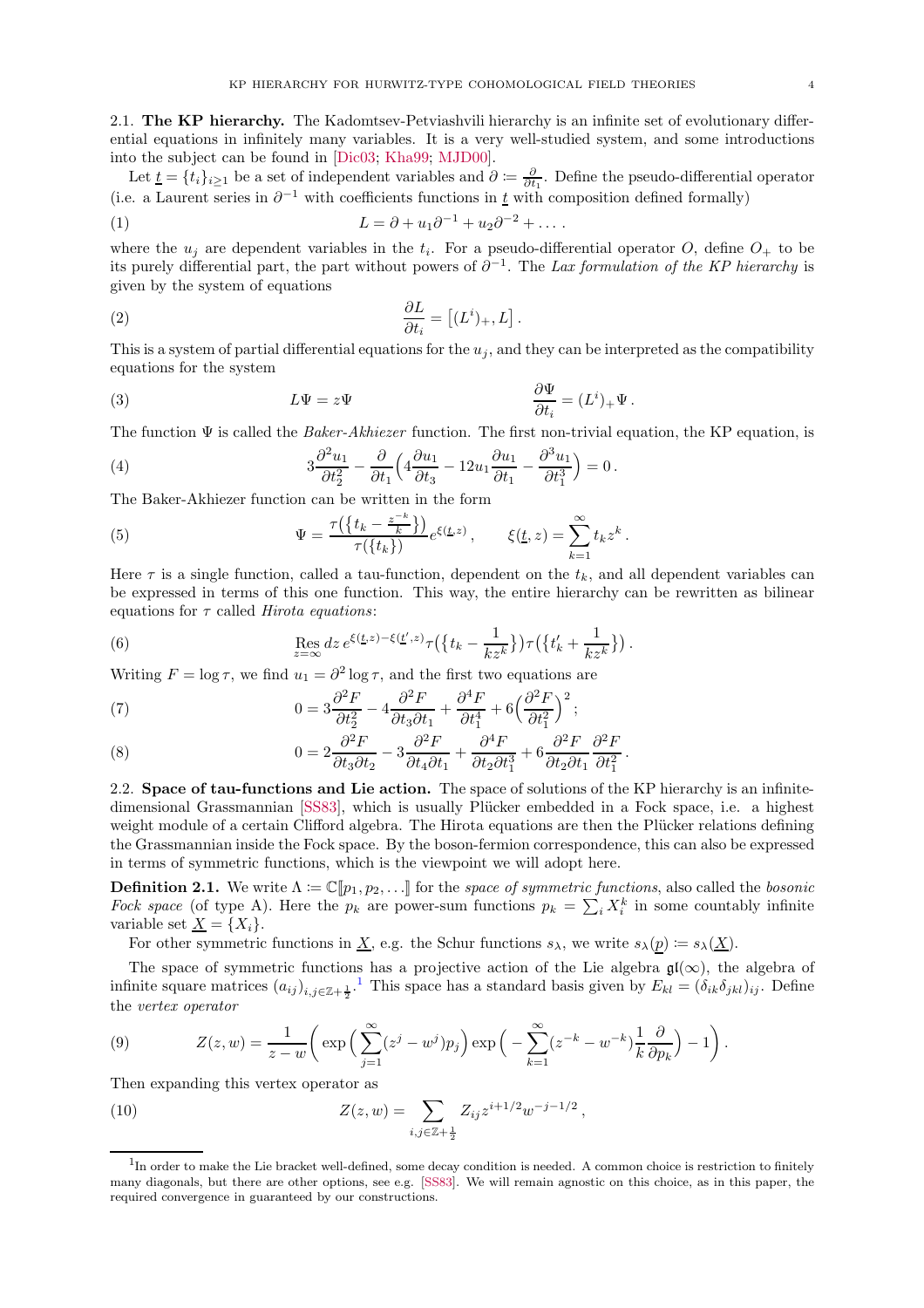<span id="page-3-0"></span>2.1. The KP hierarchy. The Kadomtsev-Petviashvili hierarchy is an infinite set of evolutionary differential equations in infinitely many variables. It is a very well-studied system, and some introductions into the subject can be found in [\[Dic03;](#page-18-13) [Kha99](#page-19-10); [MJD00](#page-19-11)].

Let  $\underline{t} = \{t_i\}_{i\geq 1}$  be a set of independent variables and  $\partial \coloneqq \frac{\partial}{\partial t_1}$ . Define the pseudo-differential operator (i.e. a Laurent series in  $\partial^{-1}$  with coefficients functions in  $\underline{t}$  with composition defined formally)

(1) 
$$
L = \partial + u_1 \partial^{-1} + u_2 \partial^{-2} + \dots
$$

where the  $u_j$  are dependent variables in the  $t_i$ . For a pseudo-differential operator O, define  $O_+$  to be its purely differential part, the part without powers of  $\partial^{-1}$ . The Lax formulation of the KP hierarchy is given by the system of equations

(2) 
$$
\frac{\partial L}{\partial t_i} = \left[ (L^i)_+, L \right].
$$

This is a system of partial differential equations for the  $u_j$ , and they can be interpreted as the compatibility equations for the system

(3) 
$$
L\Psi = z\Psi \qquad \qquad \frac{\partial \Psi}{\partial t_i} = (L^i)_+ \Psi.
$$

The function  $\Psi$  is called the *Baker-Akhiezer* function. The first non-trivial equation, the KP equation, is

(4) 
$$
3\frac{\partial^2 u_1}{\partial t_2^2} - \frac{\partial}{\partial t_1} \left( 4\frac{\partial u_1}{\partial t_3} - 12u_1 \frac{\partial u_1}{\partial t_1} - \frac{\partial^3 u_1}{\partial t_1^3} \right) = 0.
$$

The Baker-Akhiezer function can be written in the form

(5) 
$$
\Psi = \frac{\tau(\{t_k - \frac{z^{-k}}{k}\})}{\tau(\{t_k\})} e^{\xi(\underline{t}, z)}, \qquad \xi(\underline{t}, z) = \sum_{k=1}^{\infty} t_k z^k
$$

Here  $\tau$  is a single function, called a tau-function, dependent on the  $t_k$ , and all dependent variables can be expressed in terms of this one function. This way, the entire hierarchy can be rewritten as bilinear equations for  $\tau$  called *Hirota equations*:

.

(6) 
$$
\operatorname{Res}_{z=\infty} dz e^{\xi(\underline{t},z)-\xi(\underline{t}',z)} \tau(\{t_k-\frac{1}{kz^k}\}) \tau(\{t'_k+\frac{1}{kz^k}\}) .
$$

Writing  $F = \log \tau$ , we find  $u_1 = \partial^2 \log \tau$ , and the first two equations are

(7) 
$$
0 = 3\frac{\partial^2 F}{\partial t_2^2} - 4\frac{\partial^2 F}{\partial t_3 \partial t_1} + \frac{\partial^4 F}{\partial t_1^4} + 6\left(\frac{\partial^2 F}{\partial t_1^2}\right)^2;
$$

(8) 
$$
0 = 2 \frac{\partial^2 F}{\partial t_3 \partial t_2} - 3 \frac{\partial^2 F}{\partial t_4 \partial t_1} + \frac{\partial^4 F}{\partial t_2 \partial t_1^3} + 6 \frac{\partial^2 F}{\partial t_2 \partial t_1} \frac{\partial^2 F}{\partial t_1^2}.
$$

<span id="page-3-1"></span>2.2. Space of tau-functions and Lie action. The space of solutions of the KP hierarchy is an infinite-dimensional Grassmannian [\[SS83\]](#page-20-2), which is usually Plücker embedded in a Fock space, i.e. a highest weight module of a certain Clifford algebra. The Hirota equations are then the Plücker relations defining the Grassmannian inside the Fock space. By the boson-fermion correspondence, this can also be expressed in terms of symmetric functions, which is the viewpoint we will adopt here.

**Definition 2.1.** We write  $\Lambda := \mathbb{C}[\![p_1, p_2, \ldots]\!]$  for the space of symmetric functions, also called the bosonic Fock space (of type A). Here the  $p_k$  are power-sum functions  $p_k = \sum_i X_i^k$  in some countably infinite variable set  $\underline{X} = \{X_i\}.$ 

For other symmetric functions in X, e.g. the Schur functions  $s_{\lambda}$ , we write  $s_{\lambda}(p) := s_{\lambda}(X)$ .

The space of symmetric functions has a projective action of the Lie algebra  $\mathfrak{gl}(\infty)$ , the algebra of infinite square matrices  $(a_{ij})_{i,j\in\mathbb{Z}+\frac{1}{2}}$  $(a_{ij})_{i,j\in\mathbb{Z}+\frac{1}{2}}$  $(a_{ij})_{i,j\in\mathbb{Z}+\frac{1}{2}}$ .<sup>1</sup> This space has a standard basis given by  $E_{kl} = (\delta_{ik}\delta_{jkl})_{ij}$ . Define the vertex operator

(9) 
$$
Z(z,w) = \frac{1}{z-w} \left( \exp \left( \sum_{j=1}^{\infty} (z^j - w^j) p_j \right) \exp \left( - \sum_{k=1}^{\infty} (z^{-k} - w^{-k}) \frac{1}{k} \frac{\partial}{\partial p_k} \right) - 1 \right).
$$

Then expanding this vertex operator as

(10) 
$$
Z(z,w) = \sum_{i,j \in \mathbb{Z}+\frac{1}{2}} Z_{ij} z^{i+1/2} w^{-j-1/2},
$$

<span id="page-3-2"></span><sup>&</sup>lt;sup>1</sup>In order to make the Lie bracket well-defined, some decay condition is needed. A common choice is restriction to finitely many diagonals, but there are other options, see e.g. [\[SS83](#page-20-2)]. We will remain agnostic on this choice, as in this paper, the required convergence in guaranteed by our constructions.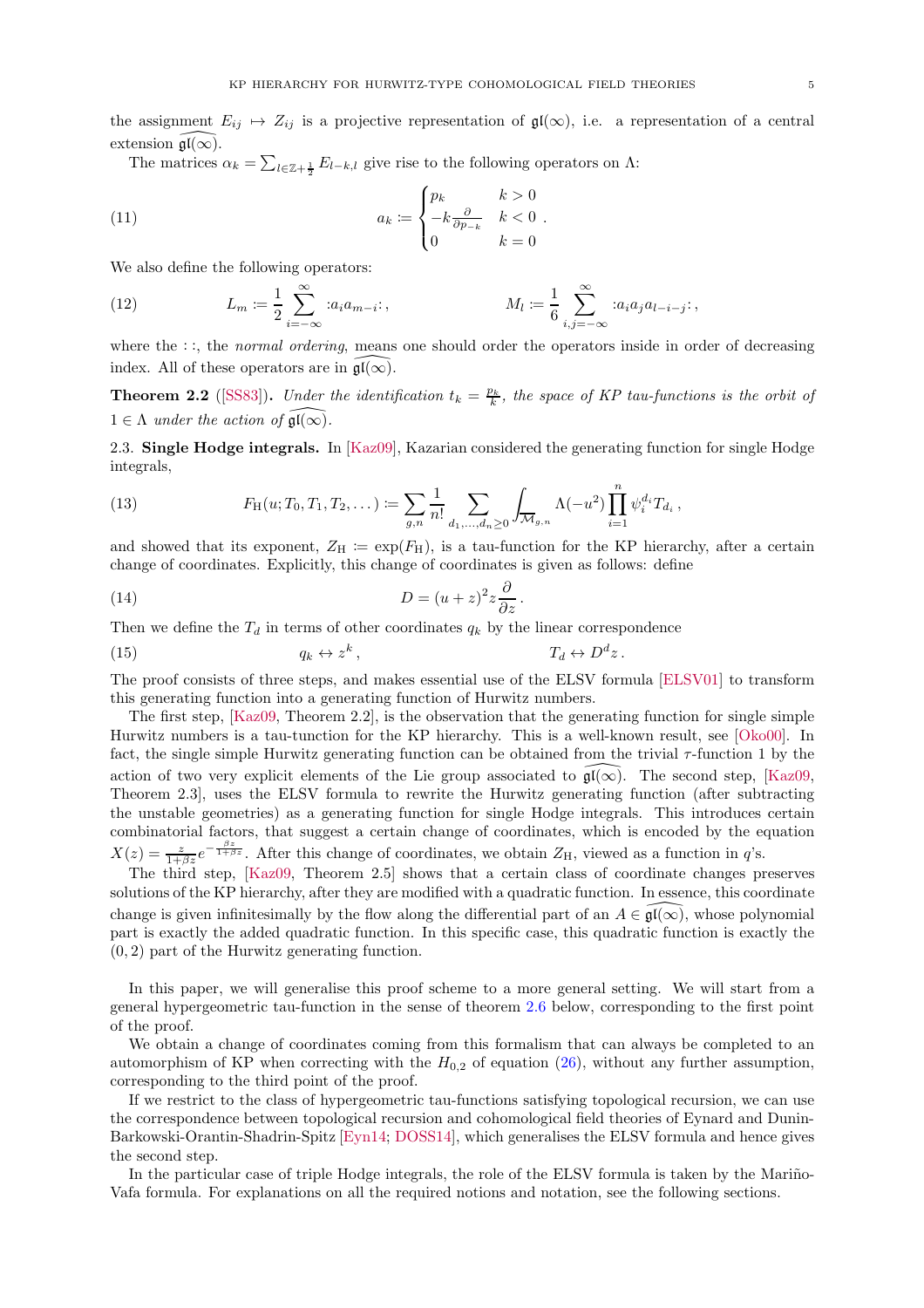the assignment  $E_{ij} \rightarrow Z_{ij}$  is a projective representation of  $\mathfrak{gl}(\infty)$ , i.e. a representation of a central extension  $\mathfrak{gl}(\infty)$ .

.

The matrices  $\alpha_k = \sum_{l \in \mathbb{Z}+\frac{1}{2}} E_{l-k,l}$  give rise to the following operators on  $\Lambda$ :

(11) 
$$
a_k \coloneqq \begin{cases} p_k & k > 0 \\ -k \frac{\partial}{\partial p_{-k}} & k < 0 \\ 0 & k = 0 \end{cases}
$$

We also define the following operators:

(12) 
$$
L_m := \frac{1}{2} \sum_{i=-\infty}^{\infty} :a_i a_{m-i}; \qquad M_l := \frac{1}{6} \sum_{i,j=-\infty}^{\infty} :a_i a_j a_{l-i-j};
$$

where the ::, the *normal ordering*, means one should order the operators inside in order of decreasing index. All of these operators are in  $\mathfrak{gl}(\infty)$ .

**Theorem 2.2** ([\[SS83](#page-20-2)]). Under the identification  $t_k = \frac{p_k}{k}$ , the space of KP tau-functions is the orbit of  $1 \in \Lambda$  under the action of  $\mathfrak{gl}(\infty)$ .

<span id="page-4-0"></span>2.3. Single Hodge integrals. In [\[Kaz09\]](#page-19-2), Kazarian considered the generating function for single Hodge integrals,

(13) 
$$
F_H(u; T_0, T_1, T_2, \dots) := \sum_{g,n} \frac{1}{n!} \sum_{d_1, \dots, d_n \ge 0} \int_{\overline{\mathcal{M}}_{g,n}} \Lambda(-u^2) \prod_{i=1}^n \psi_i^{d_i} T_{d_i},
$$

and showed that its exponent,  $Z_H := \exp(F_H)$ , is a tau-function for the KP hierarchy, after a certain change of coordinates. Explicitly, this change of coordinates is given as follows: define

<span id="page-4-1"></span>(14) 
$$
D = (u+z)^2 z \frac{\partial}{\partial z}.
$$

Then we define the  $T_d$  in terms of other coordinates  $q_k$  by the linear correspondence

<span id="page-4-2"></span>(15) 
$$
q_k \leftrightarrow z^k
$$
,  $T_d \leftrightarrow D^dz$ .

The proof consists of three steps, and makes essential use of the ELSV formula [\[ELSV01\]](#page-18-0) to transform this generating function into a generating function of Hurwitz numbers.

The first step, [\[Kaz09,](#page-19-2) Theorem 2.2], is the observation that the generating function for single simple Hurwitz numbers is a tau-tunction for the KP hierarchy. This is a well-known result, see [\[Oko00\]](#page-19-1). In fact, the single simple Hurwitz generating function can be obtained from the trivial τ-function 1 by the action of two very explicit elements of the Lie group associated to  $\overline{\mathfrak{gl}(\infty)}$ . The second step, [\[Kaz09,](#page-19-2) Theorem 2.3], uses the ELSV formula to rewrite the Hurwitz generating function (after subtracting the unstable geometries) as a generating function for single Hodge integrals. This introduces certain combinatorial factors, that suggest a certain change of coordinates, which is encoded by the equation  $X(z) = \frac{z}{1+\beta z}e^{-\frac{\beta z}{1+\beta z}}$ . After this change of coordinates, we obtain  $Z_H$ , viewed as a function in q's.

The third step, [\[Kaz09,](#page-19-2) Theorem 2.5] shows that a certain class of coordinate changes preserves solutions of the KP hierarchy, after they are modified with a quadratic function. In essence, this coordinate change is given infinitesimally by the flow along the differential part of an  $A \in \mathfrak{gl}(\infty)$ , whose polynomial part is exactly the added quadratic function. In this specific case, this quadratic function is exactly the (0, 2) part of the Hurwitz generating function.

In this paper, we will generalise this proof scheme to a more general setting. We will start from a general hypergeometric tau-function in the sense of theorem [2.6](#page-5-1) below, corresponding to the first point of the proof.

We obtain a change of coordinates coming from this formalism that can always be completed to an automorphism of KP when correcting with the  $H_{0,2}$  of equation [\(26\)](#page-6-0), without any further assumption, corresponding to the third point of the proof.

If we restrict to the class of hypergeometric tau-functions satisfying topological recursion, we can use the correspondence between topological recursion and cohomological field theories of Eynard and Dunin-Barkowski-Orantin-Shadrin-Spitz [\[Eyn14;](#page-18-4) [DOSS14\]](#page-18-5), which generalises the ELSV formula and hence gives the second step.

In the particular case of triple Hodge integrals, the role of the ELSV formula is taken by the Mariño-Vafa formula. For explanations on all the required notions and notation, see the following sections.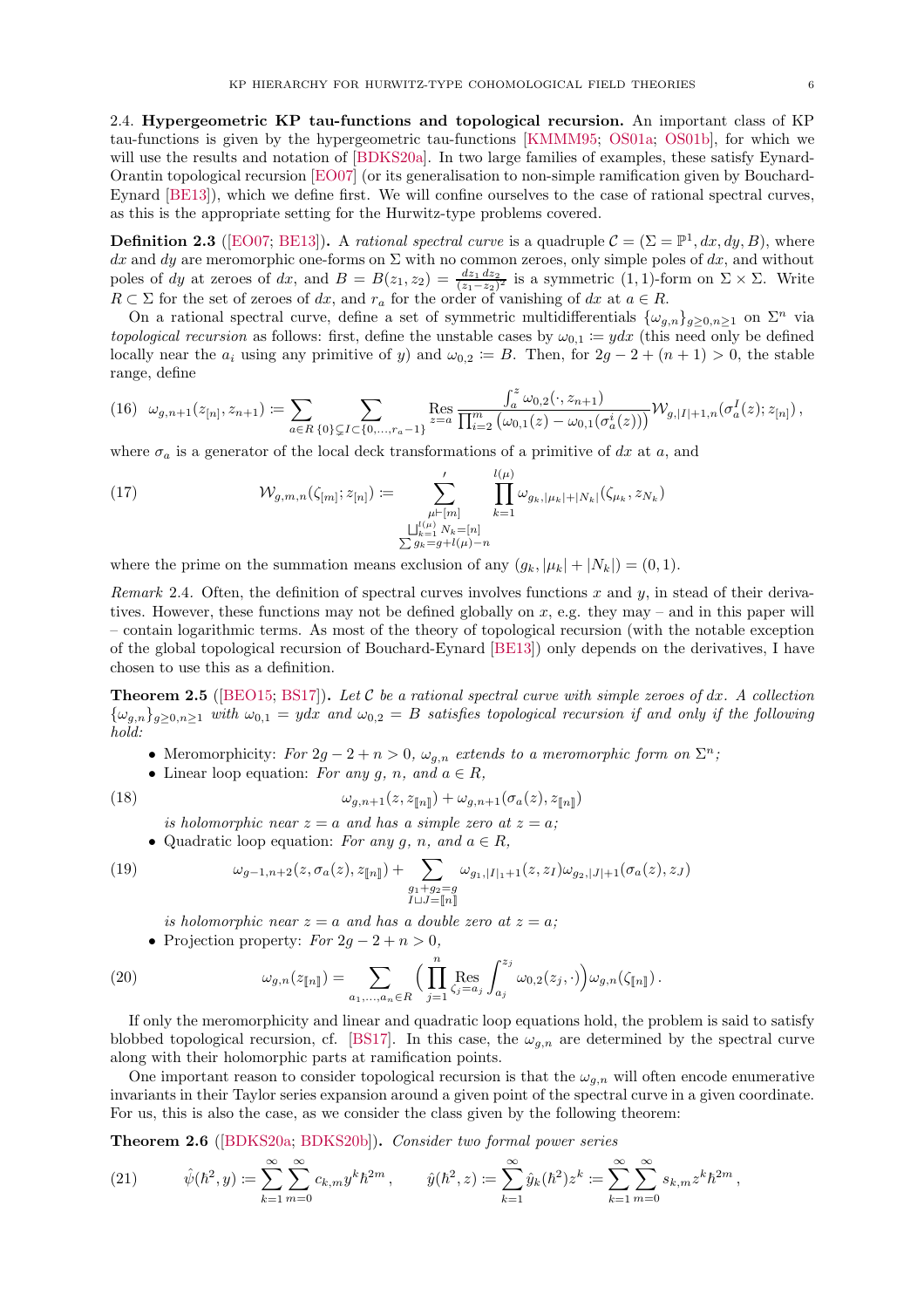<span id="page-5-0"></span>2.4. Hypergeometric KP tau-functions and topological recursion. An important class of KP tau-functions is given by the hypergeometric tau-functions [\[KMMM95;](#page-19-12) [OS01a;](#page-19-13) [OS01b\]](#page-19-14), for which we will use the results and notation of [\[BDKS20a\]](#page-17-2). In two large families of examples, these satisfy Eynard-Orantin topological recursion [\[EO07\]](#page-18-2) (or its generalisation to non-simple ramification given by Bouchard-Eynard [\[BE13\]](#page-17-8)), which we define first. We will confine ourselves to the case of rational spectral curves, as this is the appropriate setting for the Hurwitz-type problems covered.

**Definition 2.3** ([\[EO07;](#page-18-2) [BE13\]](#page-17-8)). A rational spectral curve is a quadruple  $C = (\Sigma = \mathbb{P}^1, dx, dy, B)$ , where dx and dy are meromorphic one-forms on  $\Sigma$  with no common zeroes, only simple poles of dx, and without poles of dy at zeroes of dx, and  $B = B(z_1, z_2) = \frac{dz_1 dz_2}{(z_1 - z_2)^2}$  is a symmetric  $(1, 1)$ -form on  $\Sigma \times \Sigma$ . Write  $R \subset \Sigma$  for the set of zeroes of dx, and  $r_a$  for the order of vanishing of dx at  $a \in R$ .

On a rational spectral curve, define a set of symmetric multidifferentials  $\{\omega_{g,n}\}_{g\geq 0,n\geq 1}$  on  $\Sigma^n$  via topological recursion as follows: first, define the unstable cases by  $\omega_{0,1} := ydx$  (this need only be defined locally near the  $a_i$  using any primitive of y) and  $\omega_{0,2} := B$ . Then, for  $2g - 2 + (n + 1) > 0$ , the stable range, define

$$
(16) \ \ \omega_{g,n+1}(z_{[n]},z_{n+1}) \coloneqq \sum_{a \in R} \sum_{\{0\} \subsetneq I \subset \{0,\dots,r_a-1\}} \text{Res}_{z=a} \frac{\int_a^z \omega_{0,2}(\cdot,z_{n+1})}{\prod_{i=2}^m \left(\omega_{0,1}(z) - \omega_{0,1}(\sigma_a^i(z))\right)} \mathcal{W}_{g,|I|+1,n}(\sigma_a^I(z);z_{[n]}),
$$

where  $\sigma_a$  is a generator of the local deck transformations of a primitive of dx at a, and

(17) 
$$
\mathcal{W}_{g,m,n}(\zeta_{[m]}; z_{[n]}) \coloneqq \sum_{\substack{\mu \vdash [m] \\ \bigcup_{k=1}^{l(\mu)} N_k = [n] \\ \sum g_k = g + l(\mu) - n}}' \prod_{k=1}^{l(\mu)} \omega_{g_k, |\mu_k| + |N_k|}(\zeta_{\mu_k}, z_{N_k})
$$

where the prime on the summation means exclusion of any  $(g_k, |\mu_k| + |N_k|) = (0, 1)$ .

Remark 2.4. Often, the definition of spectral curves involves functions x and y, in stead of their derivatives. However, these functions may not be defined globally on  $x$ , e.g. they may – and in this paper will – contain logarithmic terms. As most of the theory of topological recursion (with the notable exception of the global topological recursion of Bouchard-Eynard [\[BE13](#page-17-8)]) only depends on the derivatives, I have chosen to use this as a definition.

<span id="page-5-3"></span>**Theorem 2.5** ([\[BEO15;](#page-17-9) [BS17\]](#page-18-14)). Let  $C$  be a rational spectral curve with simple zeroes of dx. A collection  ${\{\omega_{g,n}\}_{g\geq0,n\geq1}}$  with  $\omega_{0,1} = ydx$  and  $\omega_{0,2} = B$  satisfies topological recursion if and only if the following hold:

- Meromorphicity: For  $2g 2 + n > 0$ ,  $\omega_{g,n}$  extends to a meromorphic form on  $\Sigma^n$ ;
- Linear loop equation: For any g, n, and  $a \in R$ ,

(18) 
$$
\omega_{g,n+1}(z,z_{\llbracket n\rrbracket}) + \omega_{g,n+1}(\sigma_a(z),z_{\llbracket n\rrbracket})
$$

is holomorphic near  $z = a$  and has a simple zero at  $z = a$ ;

• Quadratic loop equation: For any g, n, and  $a \in R$ ,

$$
(19)
$$

(19) 
$$
\omega_{g-1,n+2}(z,\sigma_a(z),z_{[\![n]\!]} )+\sum_{\substack{g_1+g_2=g\\I\sqcup J=[\![n]\!]}}\omega_{g_1,|I|_1+1}(z,z_I)\omega_{g_2,|J|+1}(\sigma_a(z),z_J)
$$

is holomorphic near  $z = a$  and has a double zero at  $z = a$ ;

• Projection property:  $For 2g - 2 + n > 0$ ,

(20) 
$$
\omega_{g,n}(z_{[\![n]\!]}) = \sum_{a_1,...,a_n \in R} \Big( \prod_{j=1}^n \text{Res}_{\zeta_j = a_j} \int_{a_j}^{z_j} \omega_{0,2}(z_j, \cdot) \Big) \omega_{g,n}(\zeta_{[\![n]\!]}) \, .
$$

If only the meromorphicity and linear and quadratic loop equations hold, the problem is said to satisfy blobbed topological recursion, cf. [\[BS17\]](#page-18-14). In this case, the  $\omega_{q,n}$  are determined by the spectral curve along with their holomorphic parts at ramification points.

One important reason to consider topological recursion is that the  $\omega_{g,n}$  will often encode enumerative invariants in their Taylor series expansion around a given point of the spectral curve in a given coordinate. For us, this is also the case, as we consider the class given by the following theorem:

<span id="page-5-1"></span>Theorem 2.6 ([\[BDKS20a;](#page-17-2) [BDKS20b](#page-17-3)]). Consider two formal power series

<span id="page-5-2"></span>(21) 
$$
\hat{\psi}(\hbar^2, y) \coloneqq \sum_{k=1}^{\infty} \sum_{m=0}^{\infty} c_{k,m} y^k \hbar^{2m}, \qquad \hat{y}(\hbar^2, z) \coloneqq \sum_{k=1}^{\infty} \hat{y}_k(\hbar^2) z^k \coloneqq \sum_{k=1}^{\infty} \sum_{m=0}^{\infty} s_{k,m} z^k \hbar^{2m},
$$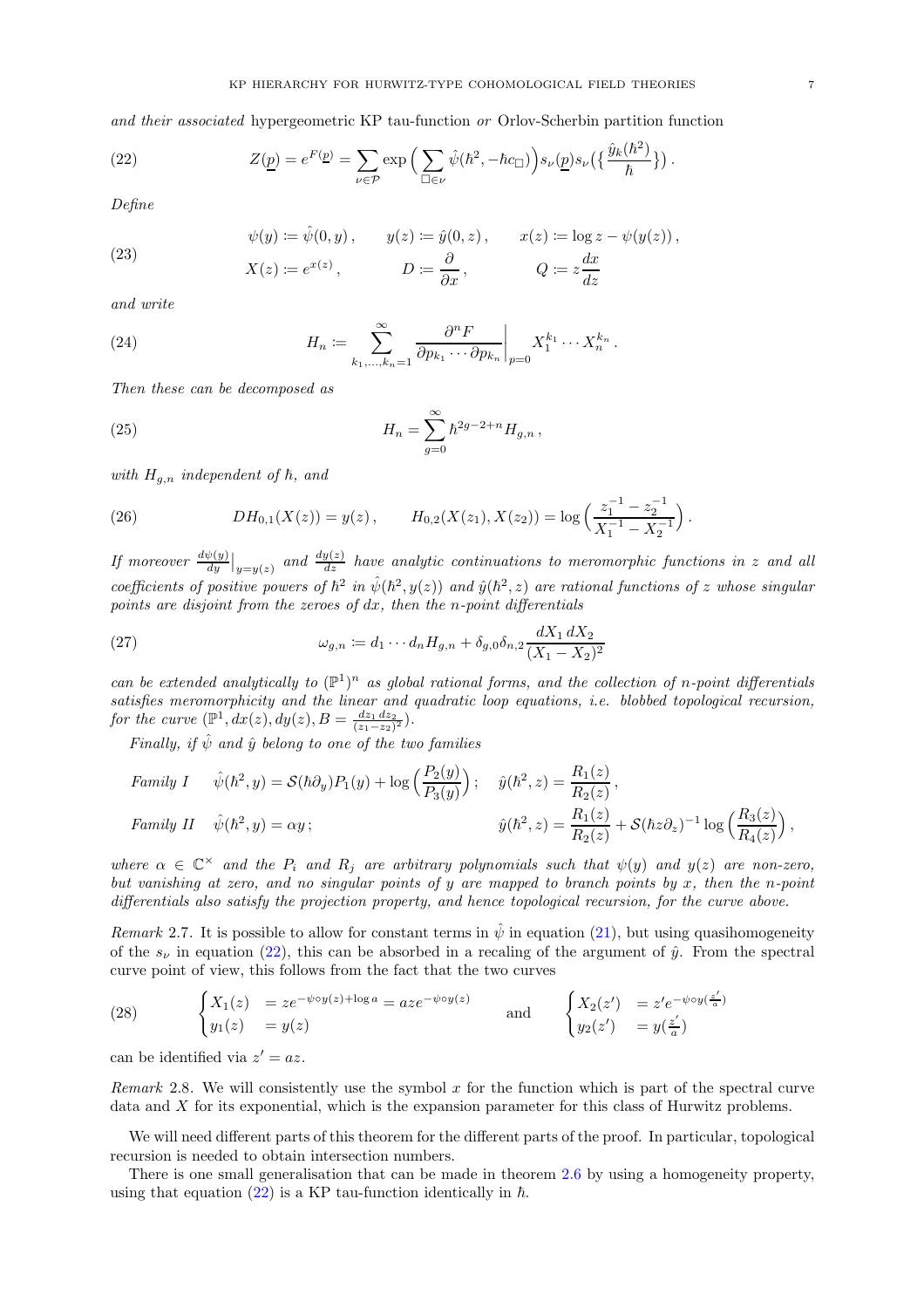and their associated hypergeometric KP tau-function or Orlov-Scherbin partition function

(22) 
$$
Z(\underline{p}) = e^{F(\underline{p})} = \sum_{\nu \in \mathcal{P}} \exp \left( \sum_{\square \in \nu} \hat{\psi}(\hbar^2, -\hbar c_{\square}) \right) s_{\nu}(\underline{p}) s_{\nu}(\left\{ \frac{\hat{y}_k(\hbar^2)}{\hbar} \right\}).
$$

Define

<span id="page-6-5"></span><span id="page-6-3"></span><span id="page-6-1"></span>
$$
\psi(y) \coloneqq \hat{\psi}(0, y), \qquad y(z) \coloneqq \hat{y}(0, z), \qquad x(z) \coloneqq \log z - \psi(y(z)),
$$

(23) 
$$
X(z) := e^{x(z)},
$$
  $D := \frac{\partial}{\partial x},$   $Q := z \frac{dx}{dz}$ 

and write

(24) 
$$
H_n \coloneqq \sum_{k_1,\dots,k_n=1}^{\infty} \frac{\partial^n F}{\partial p_{k_1} \cdots \partial p_{k_n}} \bigg|_{p=0} X_1^{k_1} \cdots X_n^{k_n}.
$$

Then these can be decomposed as

<span id="page-6-6"></span>(25) 
$$
H_n = \sum_{g=0}^{\infty} \hbar^{2g-2+n} H_{g,n} ,
$$

with  $H_{q,n}$  independent of  $\hbar$ , and

<span id="page-6-0"></span>(26) 
$$
DH_{0,1}(X(z)) = y(z), \qquad H_{0,2}(X(z_1), X(z_2)) = \log\left(\frac{z_1^{-1} - z_2^{-1}}{X_1^{-1} - X_2^{-1}}\right).
$$

If moreover  $\frac{d\psi(y)}{dy}|_{y=y(z)}$  and  $\frac{dy(z)}{dz}$  have analytic continuations to meromorphic functions in z and all coefficients of positive powers of  $\hbar^2$  in  $\hat{\psi}(\hbar^2, y(z))$  and  $\hat{y}(\hbar^2, z)$  are rational functions of z whose singular points are disjoint from the zeroes of  $dx$ , then the n-point differentials

(27) 
$$
\omega_{g,n} := d_1 \cdots d_n H_{g,n} + \delta_{g,0} \delta_{n,2} \frac{dX_1 dX_2}{(X_1 - X_2)^2}
$$

can be extended analytically to  $(\mathbb{P}^1)^n$  as global rational forms, and the collection of n-point differentials satisfies meromorphicity and the linear and quadratic loop equations, i.e. blobbed topological recursion, for the curve  $(\mathbb{P}^1, dx(z), dy(z), B = \frac{dz_1 dz_2}{(z_1 - z_2)^2}).$ 

Finally, if  $\hat{\psi}$  and  $\hat{y}$  belong to one of the two families

Family I 
$$
\hat{\psi}(\hbar^2, y) = \mathcal{S}(\hbar \partial_y) P_1(y) + \log \left( \frac{P_2(y)}{P_3(y)} \right);
$$
  $\hat{y}(\hbar^2, z) = \frac{R_1(z)}{R_2(z)},$   
Family II  $\hat{\psi}(\hbar^2, y) = \alpha y;$   $\hat{y}(\hbar^2, z) = \frac{R_1(z)}{R_2(z)} + \mathcal{S}(\hbar z \partial_z)^{-1} \log \left( \frac{R_3(z)}{R_4(z)} \right),$ 

where  $\alpha \in \mathbb{C}^\times$  and the  $P_i$  and  $R_j$  are arbitrary polynomials such that  $\psi(y)$  and  $y(z)$  are non-zero, but vanishing at zero, and no singular points of y are mapped to branch points by x, then the n-point differentials also satisfy the projection property, and hence topological recursion, for the curve above.

<span id="page-6-4"></span>*Remark* 2.7. It is possible to allow for constant terms in  $\hat{\psi}$  in equation [\(21\)](#page-5-2), but using quasihomogeneity of the  $s_{\nu}$  in equation [\(22\)](#page-6-1), this can be absorbed in a recaling of the argument of  $\hat{y}$ . From the spectral curve point of view, this follows from the fact that the two curves

(28) 
$$
\begin{cases} X_1(z) = ze^{-\psi \circ y(z) + \log a} = aze^{-\psi \circ y(z)} \\ y_1(z) = y(z) \end{cases}
$$
 and 
$$
\begin{cases} X_2(z') = z'e^{-\psi \circ y(\frac{z'}{a})} \\ y_2(z') = y(\frac{z'}{a}) \end{cases}
$$

can be identified via  $z' = az$ .

Remark 2.8. We will consistently use the symbol  $x$  for the function which is part of the spectral curve data and X for its exponential, which is the expansion parameter for this class of Hurwitz problems.

We will need different parts of this theorem for the different parts of the proof. In particular, topological recursion is needed to obtain intersection numbers.

<span id="page-6-2"></span>There is one small generalisation that can be made in theorem [2.6](#page-5-1) by using a homogeneity property, using that equation [\(22\)](#page-6-1) is a KP tau-function identically in  $\hbar$ .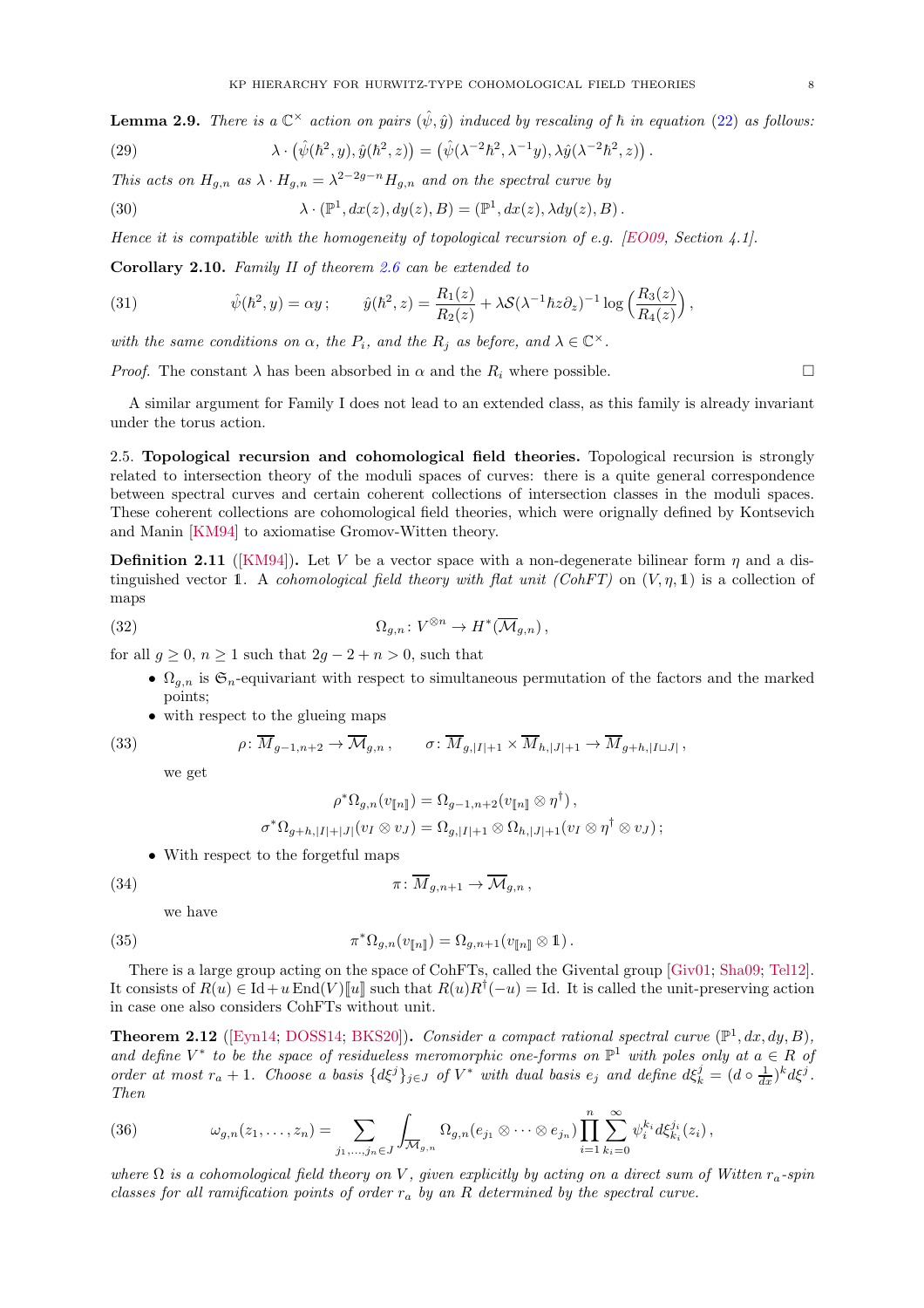**Lemma 2.9.** There is a  $\mathbb{C}^{\times}$  action on pairs  $(\hat{\psi}, \hat{y})$  induced by rescaling of  $\hbar$  in equation [\(22\)](#page-6-1) as follows:

(29) 
$$
\lambda \cdot (\hat{\psi}(\hbar^2, y), \hat{y}(\hbar^2, z)) = (\hat{\psi}(\lambda^{-2}\hbar^2, \lambda^{-1}y), \lambda \hat{y}(\lambda^{-2}\hbar^2, z)).
$$

This acts on  $H_{g,n}$  as  $\lambda \cdot H_{g,n} = \lambda^{2-2g-n} H_{g,n}$  and on the spectral curve by

(30) 
$$
\lambda \cdot (\mathbb{P}^1, dx(z), dy(z), B) = (\mathbb{P}^1, dx(z), \lambda dy(z), B).
$$

<span id="page-7-2"></span>Hence it is compatible with the homogeneity of topological recursion of e.g. [\[EO09](#page-18-15), Section 4.1].

Corollary 2.10. Family II of theorem [2.6](#page-5-1) can be extended to

(31) 
$$
\hat{\psi}(\hbar^2, y) = \alpha y; \qquad \hat{y}(\hbar^2, z) = \frac{R_1(z)}{R_2(z)} + \lambda S(\lambda^{-1} \hbar z \partial_z)^{-1} \log \left( \frac{R_3(z)}{R_4(z)} \right),
$$

with the same conditions on  $\alpha$ , the  $P_i$ , and the  $R_j$  as before, and  $\lambda \in \mathbb{C}^{\times}$ .

*Proof.* The constant  $\lambda$  has been absorbed in  $\alpha$  and the  $R_i$  where possible.

A similar argument for Family I does not lead to an extended class, as this family is already invariant under the torus action.

<span id="page-7-0"></span>2.5. Topological recursion and cohomological field theories. Topological recursion is strongly related to intersection theory of the moduli spaces of curves: there is a quite general correspondence between spectral curves and certain coherent collections of intersection classes in the moduli spaces. These coherent collections are cohomological field theories, which were orignally defined by Kontsevich and Manin [\[KM94](#page-19-15)] to axiomatise Gromov-Witten theory.

**Definition 2.11** ([\[KM94](#page-19-15)]). Let V be a vector space with a non-degenerate bilinear form  $\eta$  and a distinguished vector 1. A cohomological field theory with flat unit (CohFT) on  $(V, \eta, 1)$  is a collection of maps

(32) 
$$
\Omega_{g,n} \colon V^{\otimes n} \to H^*(\overline{\mathcal{M}}_{g,n}),
$$

for all  $g \geq 0$ ,  $n \geq 1$  such that  $2g - 2 + n > 0$ , such that

- $\Omega_{q,n}$  is  $\mathfrak{S}_n$ -equivariant with respect to simultaneous permutation of the factors and the marked points;
- with respect to the glueing maps

(33) 
$$
\rho: \overline{M}_{g-1,n+2} \to \overline{\mathcal{M}}_{g,n}, \qquad \sigma: \overline{M}_{g,|I|+1} \times \overline{M}_{h,|J|+1} \to \overline{M}_{g+h,|I \sqcup J|},
$$

we get

$$
\rho^* \Omega_{g,n}(v_{\llbracket n \rrbracket}) = \Omega_{g-1,n+2}(v_{\llbracket n \rrbracket} \otimes \eta^{\dagger}),
$$
  

$$
\sigma^* \Omega_{g+h,|I|+|J|}(v_I \otimes v_J) = \Omega_{g,|I|+1} \otimes \Omega_{h,|J|+1}(v_I \otimes \eta^{\dagger} \otimes v_J);
$$

• With respect to the forgetful maps

$$
(34)
$$

(34) 
$$
\pi \colon \overline{M}_{g,n+1} \to \overline{\mathcal{M}}_{g,n},
$$

we have

(35) 
$$
\pi^* \Omega_{g,n}(v_{[\![n]\!]} ) = \Omega_{g,n+1}(v_{[\![n]\!]} \otimes 1).
$$

There is a large group acting on the space of CohFTs, called the Givental group [\[Giv01;](#page-19-16) [Sha09;](#page-20-3) [Tel12\]](#page-20-4). It consists of  $R(u) \in \mathrm{Id} + u \mathrm{End}(V)[\![u]\!]$  such that  $R(u)R^{\dagger}(-u) = \mathrm{Id}$ . It is called the unit-preserving action in case one also considers CohFTs without unit.

<span id="page-7-1"></span>**Theorem 2.12** ([\[Eyn14;](#page-18-4) [DOSS14](#page-18-5); [BKS20\]](#page-18-16)). Consider a compact rational spectral curve  $(\mathbb{P}^1, dx, dy, B)$ , and define  $V^*$  to be the space of residueless meromorphic one-forms on  $\mathbb{P}^1$  with poles only at  $a \in R$  of order at most  $r_a + 1$ . Choose a basis  $\{d\xi^j\}_{j\in J}$  of  $V^*$  with dual basis  $e_j$  and define  $d\xi^j_k = (d \circ \frac{1}{dx})^k d\xi^j$ . Then

<span id="page-7-3"></span>(36) 
$$
\omega_{g,n}(z_1,\ldots,z_n)=\sum_{j_1,\ldots,j_n\in J}\int_{\overline{\mathcal{M}}_{g,n}}\Omega_{g,n}(e_{j_1}\otimes\cdots\otimes e_{j_n})\prod_{i=1}^n\sum_{k_i=0}^\infty\psi_i^{k_i}d\xi_{k_i}^{j_i}(z_i),
$$

where  $\Omega$  is a cohomological field theory on V, given explicitly by acting on a direct sum of Witten  $r_a$ -spin classes for all ramification points of order  $r_a$  by an R determined by the spectral curve.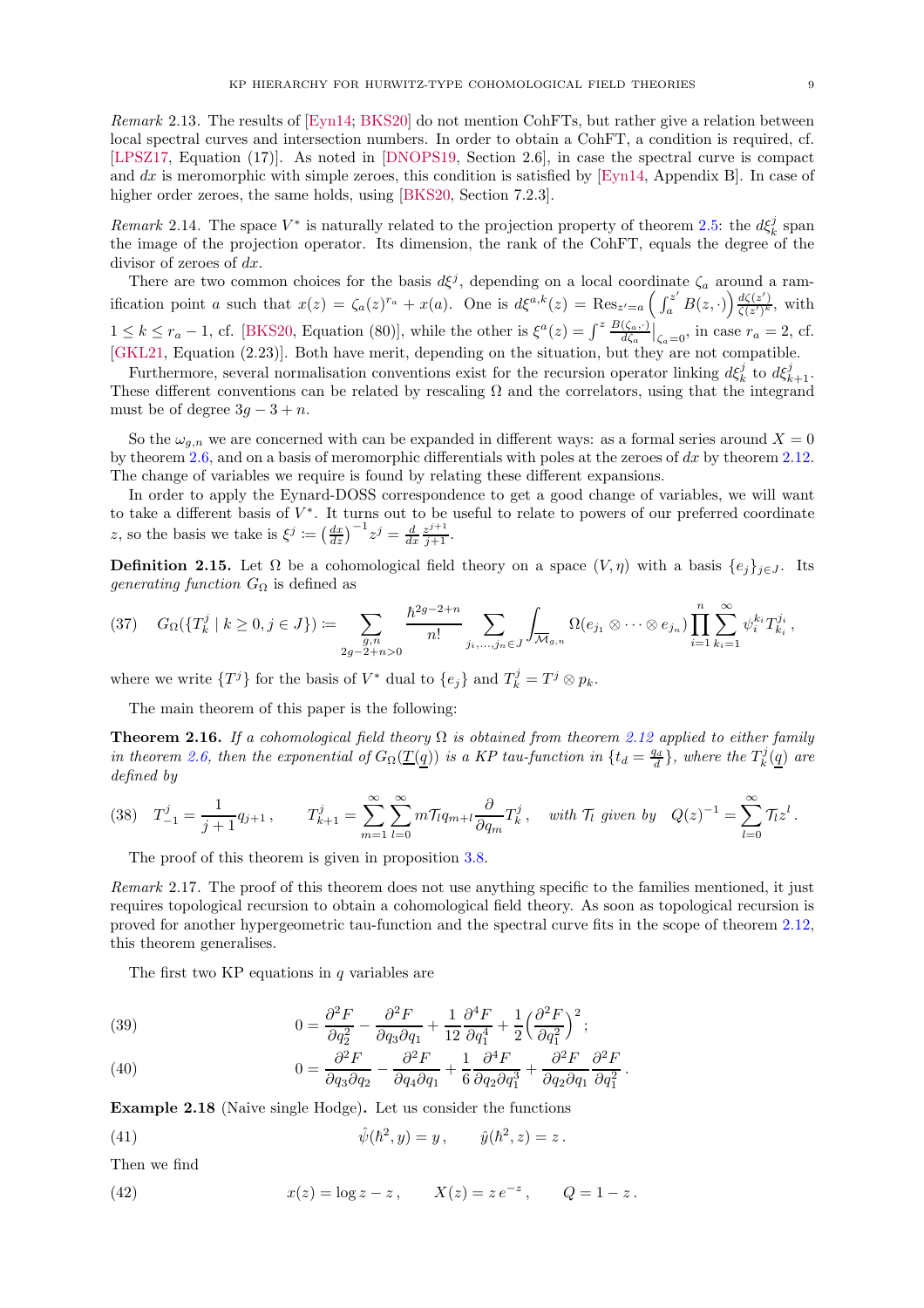Remark 2.13. The results of [\[Eyn14;](#page-18-4) [BKS20\]](#page-18-16) do not mention CohFTs, but rather give a relation between local spectral curves and intersection numbers. In order to obtain a CohFT, a condition is required, cf. [\[LPSZ17](#page-19-17), Equation (17)]. As noted in [\[DNOPS19,](#page-18-17) Section 2.6], in case the spectral curve is compact and dx is meromorphic with simple zeroes, this condition is satisfied by [\[Eyn14,](#page-18-4) Appendix B]. In case of higher order zeroes, the same holds, using [\[BKS20,](#page-18-16) Section 7.2.3].

Remark 2.14. The space  $V^*$  is naturally related to the projection property of theorem [2.5:](#page-5-3) the  $d\xi_k^j$  span the image of the projection operator. Its dimension, the rank of the CohFT, equals the degree of the divisor of zeroes of dx.

There are two common choices for the basis  $d\xi^j$ , depending on a local coordinate  $\zeta_a$  around a ramification point a such that  $x(z) = \zeta_a(z)^{r_a} + x(a)$ . One is  $d\xi^{a,k}(z) = \text{Res}_{z'=a} \left( \int_a^{z'} B(z, \cdot) \right) \frac{d\zeta(z')}{\zeta(z')^k}$  $\frac{a\zeta(z)}{\zeta(z')^k}$ , with  $1 \leq k \leq r_a - 1$ , cf. [\[BKS20,](#page-18-16) Equation (80)], while the other is  $\xi^a(z) = \int^z \frac{B(\zeta_a, \cdot)}{d\zeta_a} \Big|_{\zeta_a=0}$ , in case  $r_a = 2$ , cf. [\[GKL21,](#page-19-8) Equation (2.23)]. Both have merit, depending on the situation, but they are not compatible.

Furthermore, several normalisation conventions exist for the recursion operator linking  $d\xi_k^j$  to  $d\xi_{k+1}^j$ . These different conventions can be related by rescaling  $\Omega$  and the correlators, using that the integrand must be of degree  $3q - 3 + n$ .

So the  $\omega_{g,n}$  we are concerned with can be expanded in different ways: as a formal series around  $X = 0$ by theorem [2.6,](#page-5-1) and on a basis of meromorphic differentials with poles at the zeroes of  $dx$  by theorem [2.12.](#page-7-1) The change of variables we require is found by relating these different expansions.

In order to apply the Eynard-DOSS correspondence to get a good change of variables, we will want to take a different basis of V ∗ . It turns out to be useful to relate to powers of our preferred coordinate z, so the basis we take is  $\xi^j := \left(\frac{dx}{dz}\right)^{-1} z^j = \frac{d}{dx} \frac{z^{j+1}}{j+1}$ .

**Definition 2.15.** Let  $\Omega$  be a cohomological field theory on a space  $(V, \eta)$  with a basis  $\{e_j\}_{j\in J}$ . Its *generating function*  $G_{\Omega}$  is defined as

$$
(37) \quad G_{\Omega}(\{T_k^j \mid k \ge 0, j \in J\}) := \sum_{\substack{g,n \\ 2g-2+n>0}} \frac{\hbar^{2g-2+n}}{n!} \sum_{j_i, \dots, j_n \in J} \int_{\overline{\mathcal{M}}_{g,n}} \Omega(e_{j_1} \otimes \dots \otimes e_{j_n}) \prod_{i=1}^n \sum_{k_i=1}^{\infty} \psi_i^{k_i} T_{k_i}^{j_i},
$$

where we write  $\{T^j\}$  for the basis of  $V^*$  dual to  $\{e_j\}$  and  $T^j_k = T^j \otimes p_k$ .

<span id="page-8-0"></span>The main theorem of this paper is the following:

**Theorem 2.16.** If a cohomological field theory  $\Omega$  is obtained from theorem [2.12](#page-7-1) applied to either family in theorem [2.6,](#page-5-1) then the exponential of  $G_{\Omega}(\underline{T(q)})$  is a KP tau-function in  $\{t_d = \frac{q_d}{d}\}\$ , where the  $T_k^j(\underline{q})$  are defined by

$$
(38) \quad T_{-1}^{j} = \frac{1}{j+1} q_{j+1} \,, \qquad T_{k+1}^{j} = \sum_{m=1}^{\infty} \sum_{l=0}^{\infty} m \mathcal{T}_{l} q_{m+l} \frac{\partial}{\partial q_{m}} T_{k}^{j} \,, \quad \text{with } \mathcal{T}_{l} \text{ given by } \quad Q(z)^{-1} = \sum_{l=0}^{\infty} \mathcal{T}_{l} z^{l} \,.
$$

The proof of this theorem is given in proposition [3.8.](#page-14-1)

Remark 2.17. The proof of this theorem does not use anything specific to the families mentioned, it just requires topological recursion to obtain a cohomological field theory. As soon as topological recursion is proved for another hypergeometric tau-function and the spectral curve fits in the scope of theorem [2.12,](#page-7-1) this theorem generalises.

The first two KP equations in  $q$  variables are

<span id="page-8-2"></span>(39) 
$$
0 = \frac{\partial^2 F}{\partial q_2^2} - \frac{\partial^2 F}{\partial q_3 \partial q_1} + \frac{1}{12} \frac{\partial^4 F}{\partial q_1^4} + \frac{1}{2} \left(\frac{\partial^2 F}{\partial q_1^2}\right)^2;
$$

(40) 
$$
0 = \frac{\partial^2 F}{\partial q_3 \partial q_2} - \frac{\partial^2 F}{\partial q_4 \partial q_1} + \frac{1}{6} \frac{\partial^4 F}{\partial q_2 \partial q_1^3} + \frac{\partial^2 F}{\partial q_2 \partial q_1} \frac{\partial^2 F}{\partial q_1^2}.
$$

<span id="page-8-1"></span>Example 2.18 (Naive single Hodge). Let us consider the functions

(41) 
$$
\hat{\psi}(\hbar^2, y) = y, \qquad \hat{y}(\hbar^2, z) = z.
$$

Then we find

(42) 
$$
x(z) = \log z - z
$$
,  $X(z) = z e^{-z}$ ,  $Q = 1 - z$ .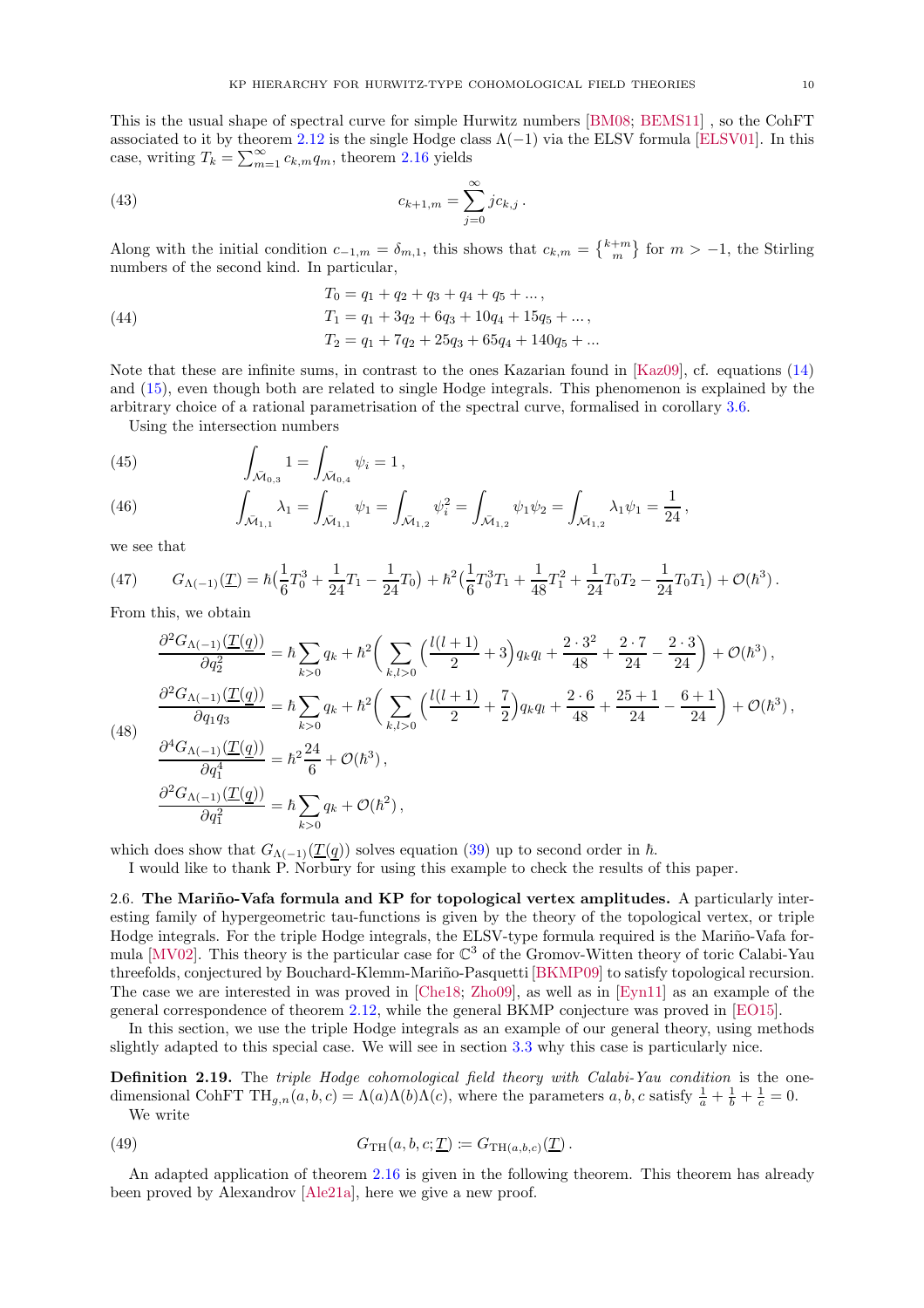This is the usual shape of spectral curve for simple Hurwitz numbers [\[BM08;](#page-18-3) [BEMS11\]](#page-17-1) , so the CohFT associated to it by theorem [2.12](#page-7-1) is the single Hodge class  $\Lambda(-1)$  via the ELSV formula [\[ELSV01](#page-18-0)]. In this case, writing  $T_k = \sum_{m=1}^{\infty} c_{k,m} q_m$ , theorem [2.16](#page-8-0) yields

(43) 
$$
c_{k+1,m} = \sum_{j=0}^{\infty} j c_{k,j}.
$$

Along with the initial condition  $c_{-1,m} = \delta_{m,1}$ , this shows that  $c_{k,m} = \{k+m \atop m \}$  for  $m > -1$ , the Stirling numbers of the second kind. In particular,

(44) 
$$
T_0 = q_1 + q_2 + q_3 + q_4 + q_5 + \dots,
$$

$$
T_1 = q_1 + 3q_2 + 6q_3 + 10q_4 + 15q_5 + \dots,
$$

$$
T_2 = q_1 + 7q_2 + 25q_3 + 65q_4 + 140q_5 + \dots
$$

Note that these are infinite sums, in contrast to the ones Kazarian found in [\[Kaz09\]](#page-19-2), cf. equations [\(14\)](#page-4-1) and [\(15\)](#page-4-2), even though both are related to single Hodge integrals. This phenomenon is explained by the arbitrary choice of a rational parametrisation of the spectral curve, formalised in corollary [3.6.](#page-13-2)

Using the intersection numbers

(45) 
$$
\int_{\bar{\mathcal{M}}_{0,3}} 1 = \int_{\bar{\mathcal{M}}_{0,4}} \psi_i = 1,
$$

(46) 
$$
\int_{\bar{\mathcal{M}}_{1,1}} \lambda_1 = \int_{\bar{\mathcal{M}}_{1,1}} \psi_1 = \int_{\bar{\mathcal{M}}_{1,2}} \psi_1^2 = \int_{\bar{\mathcal{M}}_{1,2}} \psi_1 \psi_2 = \int_{\bar{\mathcal{M}}_{1,2}} \lambda_1 \psi_1 = \frac{1}{24},
$$

we see that

(47) 
$$
G_{\Lambda(-1)}(\underline{T}) = \hbar \left(\frac{1}{6}T_0^3 + \frac{1}{24}T_1 - \frac{1}{24}T_0\right) + \hbar^2 \left(\frac{1}{6}T_0^3T_1 + \frac{1}{48}T_1^2 + \frac{1}{24}T_0T_2 - \frac{1}{24}T_0T_1\right) + \mathcal{O}(\hbar^3).
$$

From this, we obtain

$$
\frac{\partial^2 G_{\Lambda(-1)}(\underline{T}(\underline{q}))}{\partial q_2^2} = \hbar \sum_{k>0} q_k + \hbar^2 \bigg( \sum_{k,l>0} \Big( \frac{l(l+1)}{2} + 3 \Big) q_k q_l + \frac{2 \cdot 3^2}{48} + \frac{2 \cdot 7}{24} - \frac{2 \cdot 3}{24} \bigg) + \mathcal{O}(\hbar^3),
$$
  

$$
\frac{\partial^2 G_{\Lambda(-1)}(\underline{T}(\underline{q}))}{\partial q_1 q_3} = \hbar \sum_{k>0} q_k + \hbar^2 \bigg( \sum_{k,l>0} \Big( \frac{l(l+1)}{2} + \frac{7}{2} \Big) q_k q_l + \frac{2 \cdot 6}{48} + \frac{25+1}{24} - \frac{6+1}{24} \bigg) + \mathcal{O}(\hbar^3),
$$
  

$$
\frac{\partial^4 G_{\Lambda(-1)}(\underline{T}(\underline{q}))}{\partial q_1^4} = \hbar^2 \frac{24}{6} + \mathcal{O}(\hbar^3),
$$
  

$$
\frac{\partial^2 G_{\Lambda(-1)}(\overline{T}(\underline{q}))}{\partial q_1^4} = \hbar^2 \frac{24}{6} + \mathcal{O}(\hbar^3),
$$

 $(4)$ 

$$
\frac{\partial q_1^4}{\partial q_1^2} = h \frac{\overline{6}}{6} + O(h^2),
$$

$$
\frac{\partial^2 G_{\Lambda(-1)}(\underline{T}(\underline{q}))}{\partial q_1^2} = h \sum_{k>0} q_k + O(h^2),
$$

which does show that  $G_{\Lambda(-1)}(\underline{T}(q))$  solves equation [\(39\)](#page-8-2) up to second order in  $\hbar$ .

<span id="page-9-0"></span>I would like to thank P. Norbury for using this example to check the results of this paper.

2.6. The Mariño-Vafa formula and KP for topological vertex amplitudes. A particularly interesting family of hypergeometric tau-functions is given by the theory of the topological vertex, or triple Hodge integrals. For the triple Hodge integrals, the ELSV-type formula required is the Mariño-Vafa for-mula [\[MV02\]](#page-19-3). This theory is the particular case for  $\mathbb{C}^3$  of the Gromov-Witten theory of toric Calabi-Yau threefolds, conjectured by Bouchard-Klemm-Mariño-Pasquetti [\[BKMP09\]](#page-17-4) to satisfy topological recursion. The case we are interested in was proved in [\[Che18;](#page-18-6) [Zho09\]](#page-20-1), as well as in [\[Eyn11\]](#page-18-7) as an example of the general correspondence of theorem [2.12,](#page-7-1) while the general BKMP conjecture was proved in [\[EO15\]](#page-18-8).

In this section, we use the triple Hodge integrals as an example of our general theory, using methods slightly adapted to this special case. We will see in section [3.3](#page-14-0) why this case is particularly nice.

Definition 2.19. The triple Hodge cohomological field theory with Calabi-Yau condition is the onedimensional CohFT TH<sub>g,n</sub>(a, b,c) =  $\Lambda(a)\Lambda(b)\Lambda(c)$ , where the parameters a, b,c satisfy  $\frac{1}{a} + \frac{1}{b} + \frac{1}{c} = 0$ . We write

(49) 
$$
G_{\mathrm{TH}}(a,b,c;\underline{T}) \coloneqq G_{\mathrm{TH}(a,b,c)}(\underline{T}).
$$

<span id="page-9-1"></span>An adapted application of theorem [2.16](#page-8-0) is given in the following theorem. This theorem has already been proved by Alexandrov [\[Ale21a](#page-17-5)], here we give a new proof.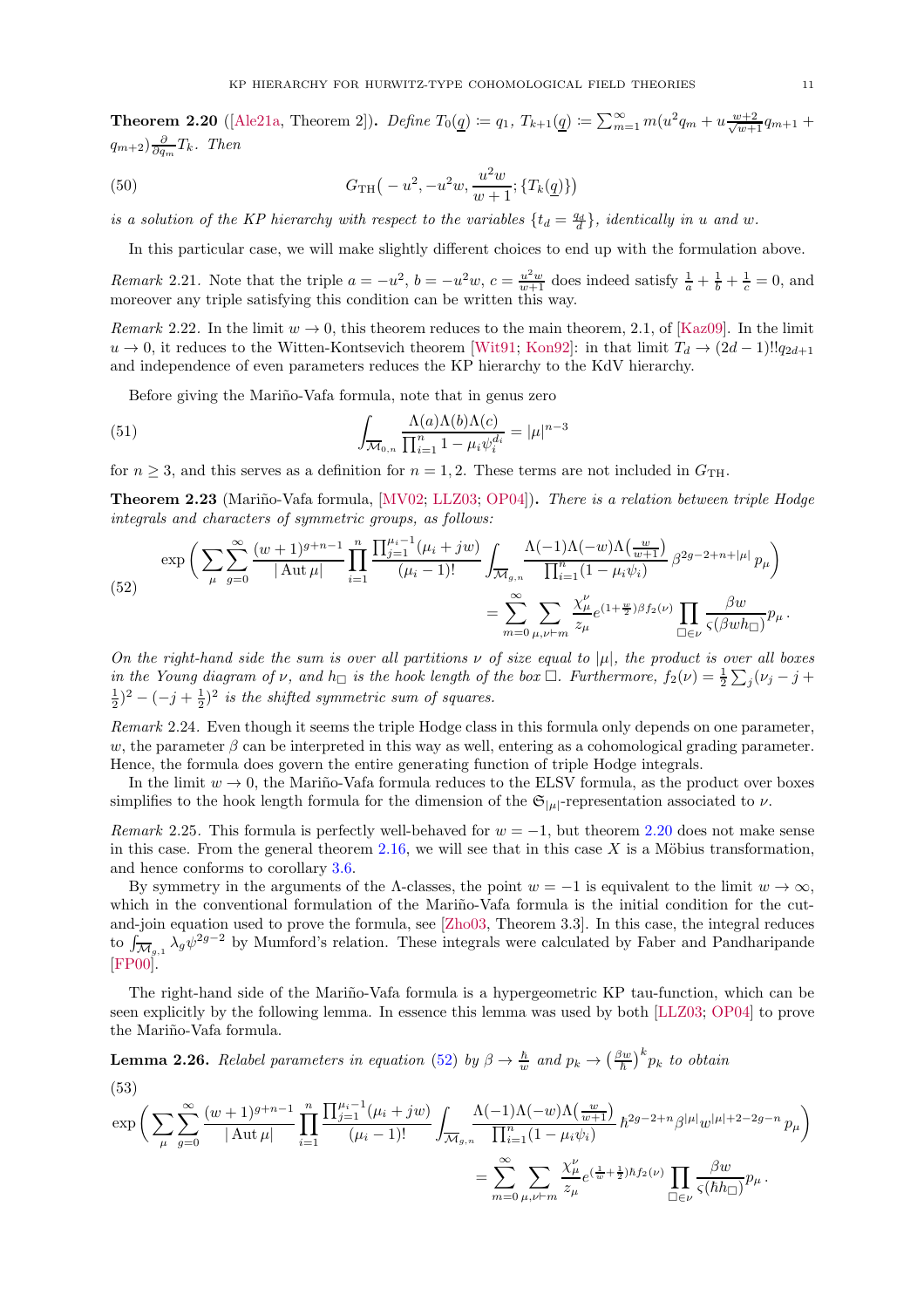**Theorem 2.20** ([\[Ale21a](#page-17-5), Theorem 2]). Define  $T_0(q) \coloneqq q_1, T_{k+1}(q) \coloneqq \sum_{m=1}^{\infty} m(u^2 q_m + u \frac{w+2}{\sqrt{w+1}} q_{m+1} +$  $(q_{m+2})\frac{\partial}{\partial q_m}T_k$ . Then

(50) 
$$
G_{\rm TH}(-u^2, -u^2w, \frac{u^2w}{w+1}; \{T_k(\underline{q})\})
$$

is a solution of the KP hierarchy with respect to the variables  $\{t_d = \frac{q_d}{d}\}\$ , identically in u and w.

In this particular case, we will make slightly different choices to end up with the formulation above.

*Remark* 2.21. Note that the triple  $a = -u^2$ ,  $b = -u^2w$ ,  $c = \frac{u^2w}{w+1}$  does indeed satisfy  $\frac{1}{a} + \frac{1}{b} + \frac{1}{c} = 0$ , and moreover any triple satisfying this condition can be written this way.

Remark 2.22. In the limit  $w \to 0$ , this theorem reduces to the main theorem, 2.1, of [\[Kaz09\]](#page-19-2). In the limit  $u \to 0$ , it reduces to the Witten-Kontsevich theorem [\[Wit91;](#page-20-0) [Kon92\]](#page-19-0): in that limit  $T_d \to (2d-1)!!q_{2d+1}$ and independence of even parameters reduces the KP hierarchy to the KdV hierarchy.

Before giving the Mariño-Vafa formula, note that in genus zero

(51) 
$$
\int_{\overline{\mathcal{M}}_{0,n}} \frac{\Lambda(a)\Lambda(b)\Lambda(c)}{\prod_{i=1}^{n} 1 - \mu_i \psi_i^{d_i}} = |\mu|^{n-3}
$$

<span id="page-10-2"></span>for  $n \geq 3$ , and this serves as a definition for  $n = 1, 2$ . These terms are not included in  $G_{\text{TH}}$ .

Theorem 2.23 (Mariño-Vafa formula, [\[MV02;](#page-19-3) [LLZ03](#page-19-4); [OP04\]](#page-19-5)). There is a relation between triple Hodge integrals and characters of symmetric groups, as follows:

<span id="page-10-0"></span>
$$
\exp\bigg(\sum_{\mu}\sum_{g=0}^{\infty}\frac{(w+1)^{g+n-1}}{|\operatorname{Aut}\mu|}\prod_{i=1}^{n}\frac{\prod_{j=1}^{\mu_{i}-1}(\mu_{i}+jw)}{(\mu_{i}-1)!}\int_{\overline{\mathcal{M}}_{g,n}}\frac{\Lambda(-1)\Lambda(-w)\Lambda(\frac{w}{w+1})}{\prod_{i=1}^{n}(1-\mu_{i}\psi_{i})}\beta^{2g-2+n+|\mu|}p_{\mu}\bigg) = \sum_{m=0}^{\infty}\sum_{\mu,\nu\vdash m}\frac{\chi_{\mu}^{\nu}}{z_{\mu}}e^{(1+\frac{w}{2})\beta f_{2}(\nu)}\prod_{\Box\in\nu}\frac{\beta w}{\varsigma(\beta wh_{\Box})}p_{\mu}.
$$

On the right-hand side the sum is over all partitions  $\nu$  of size equal to  $|\mu|$ , the product is over all boxes in the Young diagram of  $\nu$ , and  $h_{\Box}$  is the hook length of the box  $\Box$ . Furthermore,  $f_2(\nu) = \frac{1}{2} \sum_j (\nu_j - j + j)$  $(\frac{1}{2})^2 - (-j + \frac{1}{2})^2$  is the shifted symmetric sum of squares.

Remark 2.24. Even though it seems the triple Hodge class in this formula only depends on one parameter, w, the parameter  $\beta$  can be interpreted in this way as well, entering as a cohomological grading parameter. Hence, the formula does govern the entire generating function of triple Hodge integrals.

In the limit  $w \to 0$ , the Mariño-Vafa formula reduces to the ELSV formula, as the product over boxes simplifies to the hook length formula for the dimension of the  $\mathfrak{S}_{|\mu|}$ -representation associated to  $\nu$ .

Remark 2.25. This formula is perfectly well-behaved for  $w = -1$ , but theorem [2.20](#page-9-1) does not make sense in this case. From the general theorem [2.16,](#page-8-0) we will see that in this case  $X$  is a Möbius transformation, and hence conforms to corollary [3.6.](#page-13-2)

By symmetry in the arguments of the  $\Lambda$ -classes, the point  $w = -1$  is equivalent to the limit  $w \to \infty$ , which in the conventional formulation of the Mariño-Vafa formula is the initial condition for the cutand-join equation used to prove the formula, see [\[Zho03](#page-20-5), Theorem 3.3]. In this case, the integral reduces to  $\int_{\overline{\mathcal{M}}_{\alpha,1}} \lambda_g \psi^{2g-2}$  by Mumford's relation. These integrals were calculated by Faber and Pandharipande  $[{\rm FP00}]$ .

The right-hand side of the Mariño-Vafa formula is a hypergeometric KP tau-function, which can be seen explicitly by the following lemma. In essence this lemma was used by both [\[LLZ03](#page-19-4); [OP04\]](#page-19-5) to prove the Mariño-Vafa formula.

<span id="page-10-1"></span>**Lemma 2.26.** Relabel parameters in equation [\(52\)](#page-10-0) by  $\beta \to \frac{\hbar}{w}$  and  $p_k \to (\frac{\beta w}{\hbar})$  $\left(\frac{b w}{\hbar}\right)^k p_k$  to obtain (53)

$$
\exp\bigg(\sum_{\mu}\sum_{g=0}^{\infty}\frac{(w+1)^{g+n-1}}{|\operatorname{Aut}\mu|}\prod_{i=1}^{n}\frac{\prod_{j=1}^{\mu_{i}-1}(\mu_{i}+jw)}{(\mu_{i}-1)!}\int_{\overline{\mathcal{M}}_{g,n}}\frac{\Lambda(-1)\Lambda(-w)\Lambda\left(\frac{w}{w+1}\right)}{\prod_{i=1}^{n}(1-\mu_{i}\psi_{i})}\hbar^{2g-2+n}\beta^{|\mu|}w^{|\mu|+2-2g-n}\,p_{\mu}\bigg)\\=\sum_{m=0}^{\infty}\sum_{\mu,\nu\vdash m}\frac{\chi_{\mu}^{\nu}}{z_{\mu}}e^{\left(\frac{1}{w}+\frac{1}{2}\right)\hbar f_{2}(\nu)}\prod_{\square\in\nu}\frac{\beta w}{\varsigma(\hbar h_{\square})}p_{\mu}\,.
$$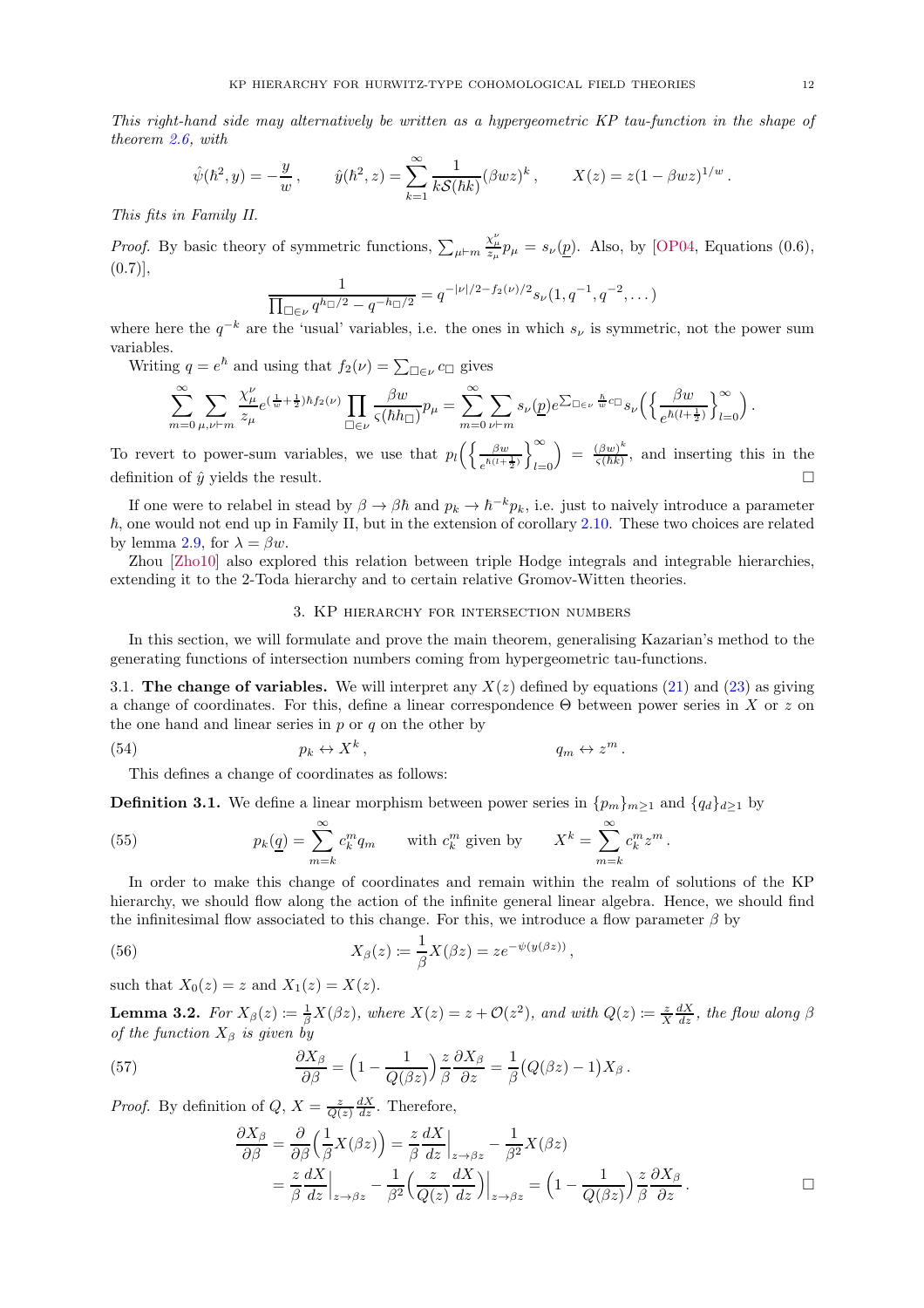This right-hand side may alternatively be written as a hypergeometric KP tau-function in the shape of theorem [2.6,](#page-5-1) with

$$
\hat{\psi}(\hbar^2, y) = -\frac{y}{w}, \qquad \hat{y}(\hbar^2, z) = \sum_{k=1}^{\infty} \frac{1}{kS(\hbar k)} (\beta wz)^k, \qquad X(z) = z(1 - \beta wz)^{1/w}.
$$

This fits in Family II.

*Proof.* By basic theory of symmetric functions,  $\sum_{\mu \vdash m}$  $\frac{\chi_{\mu}^{\nu}}{z_{\mu}} p_{\mu} = s_{\nu}(\underline{p}).$  Also, by [\[OP04](#page-19-5), Equations (0.6),  $(0.7)$ ],

$$
\frac{1}{\prod_{\Box \in \nu} q^{h_{\Box}/2} - q^{-h_{\Box}/2}} = q^{-|\nu|/2 - f_2(\nu)/2} s_{\nu}(1, q^{-1}, q^{-2}, \dots)
$$

where here the  $q^{-k}$  are the 'usual' variables, i.e. the ones in which  $s_{\nu}$  is symmetric, not the power sum variables.

Writing  $q = e^{\hbar}$  and using that  $f_2(\nu) = \sum_{\Box \in \nu} c_{\Box}$  gives

$$
\sum_{m=0}^{\infty} \sum_{\mu,\nu \vdash m} \frac{\chi_{\mu}^{\nu}}{z_{\mu}} e^{(\frac{1}{w} + \frac{1}{2})\hbar f_2(\nu)} \prod_{\Box \in \nu} \frac{\beta w}{\varsigma(\hbar h_{\Box})} p_{\mu} = \sum_{m=0}^{\infty} \sum_{\nu \vdash m} s_{\nu}(\underline{p}) e^{\sum_{\Box \in \nu} \frac{\hbar}{w} c_{\Box}} s_{\nu} \left( \left\{ \frac{\beta w}{e^{\hbar(l + \frac{1}{2})}} \right\}_{l=0}^{\infty} \right).
$$

To revert to power-sum variables, we use that  $p_l\left(\frac{\beta w}{\hbar l l^2}\right)$  $\frac{\beta w}{e^{\hbar(l+\frac{1}{2})}}\Bigg\}_{l=0}^{\infty}$  $_{l=0}$  $=\frac{(\beta w)^k}{c(\hbar k)}$  $\frac{(\beta w)}{\varsigma(\hbar k)}$ , and inserting this in the definition of  $\hat{y}$  yields the result.

If one were to relabel in stead by  $\beta \to \beta \hbar$  and  $p_k \to \hbar^{-k}p_k$ , i.e. just to naively introduce a parameter  $\hbar$ , one would not end up in Family II, but in the extension of corollary [2.10.](#page-7-2) These two choices are related by lemma [2.9,](#page-6-2) for  $\lambda = \beta w$ .

<span id="page-11-0"></span>Zhou [\[Zho10\]](#page-20-6) also explored this relation between triple Hodge integrals and integrable hierarchies, extending it to the 2-Toda hierarchy and to certain relative Gromov-Witten theories.

## 3. KP hierarchy for intersection numbers

In this section, we will formulate and prove the main theorem, generalising Kazarian's method to the generating functions of intersection numbers coming from hypergeometric tau-functions.

<span id="page-11-1"></span>3.1. The change of variables. We will interpret any  $X(z)$  defined by equations [\(21\)](#page-5-2) and [\(23\)](#page-6-3) as giving a change of coordinates. For this, define a linear correspondence  $\Theta$  between power series in X or z on the one hand and linear series in  $p$  or  $q$  on the other by

(54) 
$$
p_k \leftrightarrow X^k
$$
,  $q_m \leftrightarrow z^m$ .

<span id="page-11-3"></span>This defines a change of coordinates as follows:

**Definition 3.1.** We define a linear morphism between power series in  $\{p_m\}_{m\geq 1}$  and  $\{q_d\}_{d\geq 1}$  by

<span id="page-11-2"></span>(55) 
$$
p_k(\underline{q}) = \sum_{m=k}^{\infty} c_k^m q_m \quad \text{with } c_k^m \text{ given by } X^k = \sum_{m=k}^{\infty} c_k^m z^m.
$$

In order to make this change of coordinates and remain within the realm of solutions of the KP hierarchy, we should flow along the action of the infinite general linear algebra. Hence, we should find the infinitesimal flow associated to this change. For this, we introduce a flow parameter  $\beta$  by

(56) 
$$
X_{\beta}(z) \coloneqq \frac{1}{\beta} X(\beta z) = z e^{-\psi(y(\beta z))}
$$

<span id="page-11-4"></span>such that  $X_0(z) = z$  and  $X_1(z) = X(z)$ .

**Lemma 3.2.** For  $X_{\beta}(z) := \frac{1}{\beta}X(\beta z)$ , where  $X(z) = z + \mathcal{O}(z^2)$ , and with  $Q(z) := \frac{z}{X}\frac{dX}{dz}$ , the flow along  $\beta$ of the function  $X_\beta$  is given by

(57) 
$$
\frac{\partial X_{\beta}}{\partial \beta} = \left(1 - \frac{1}{Q(\beta z)}\right) \frac{z}{\beta} \frac{\partial X_{\beta}}{\partial z} = \frac{1}{\beta} \left(Q(\beta z) - 1\right) X_{\beta}.
$$

*Proof.* By definition of  $Q$ ,  $X = \frac{z}{Q(z)} \frac{dX}{dz}$ . Therefore,

$$
\frac{\partial X_{\beta}}{\partial \beta} = \frac{\partial}{\partial \beta} \left( \frac{1}{\beta} X(\beta z) \right) = \frac{z}{\beta} \frac{dX}{dz} \Big|_{z \to \beta z} - \frac{1}{\beta^2} X(\beta z) \n= \frac{z}{\beta} \frac{dX}{dz} \Big|_{z \to \beta z} - \frac{1}{\beta^2} \left( \frac{z}{Q(z)} \frac{dX}{dz} \right) \Big|_{z \to \beta z} = \left( 1 - \frac{1}{Q(\beta z)} \right) \frac{z}{\beta} \frac{\partial X_{\beta}}{\partial z} .
$$

,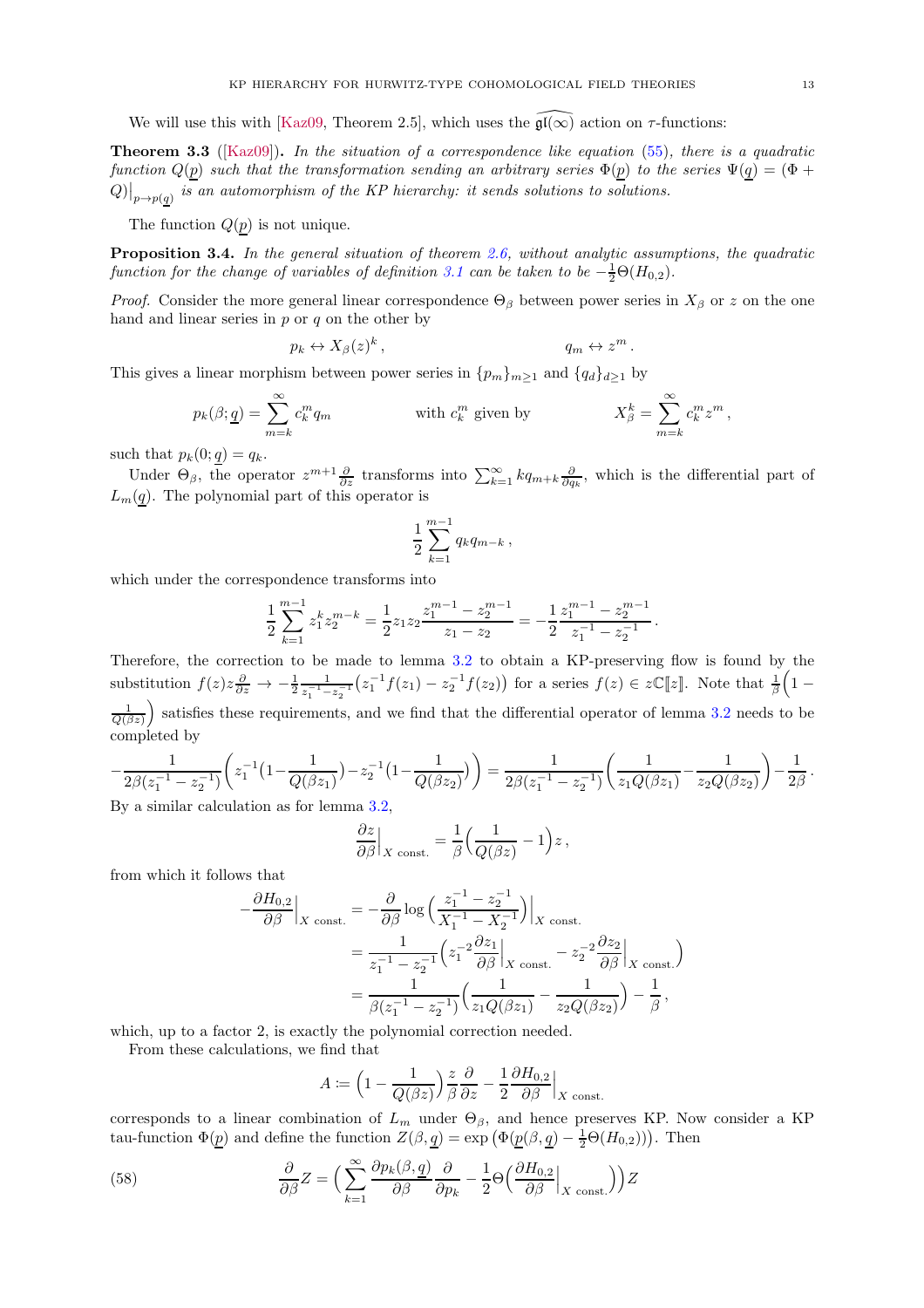<span id="page-12-1"></span>We will use this with [\[Kaz09,](#page-19-2) Theorem 2.5], which uses the  $\mathfrak{gl}(\infty)$  action on  $\tau$ -functions:

**Theorem 3.3** ([\[Kaz09\]](#page-19-2)). In the situation of a correspondence like equation [\(55\)](#page-11-2), there is a quadratic function  $Q(p)$  such that the transformation sending an arbitrary series  $\Phi(p)$  to the series  $\Psi(q) = (\Phi +$  $Q)|_{p\rightarrow p(\underline{q})}$  is an automorphism of the KP hierarchy: it sends solutions to solutions.

<span id="page-12-0"></span>The function  $Q(p)$  is not unique.

**Proposition 3.4.** In the general situation of theorem [2.6,](#page-5-1) without analytic assumptions, the quadratic function for the change of variables of definition [3.1](#page-11-3) can be taken to be  $-\frac{1}{2}\Theta(H_{0,2})$ .

*Proof.* Consider the more general linear correspondence  $\Theta_{\beta}$  between power series in  $X_{\beta}$  or z on the one hand and linear series in  $p$  or  $q$  on the other by

$$
p_k \leftrightarrow X_\beta(z)^k, \qquad \qquad q_m \leftrightarrow z^m.
$$

This gives a linear morphism between power series in  $\{p_m\}_{m\geq 1}$  and  $\{q_d\}_{d\geq 1}$  by

$$
p_k(\beta; \underline{q}) = \sum_{m=k}^{\infty} c_k^m q_m \qquad \text{with } c_k^m \text{ given by} \qquad X_{\beta}^k = \sum_{m=k}^{\infty} c_k^m z^m,
$$

such that  $p_k(0; q) = q_k$ .

Under  $\Theta_{\beta}$ , the operator  $z^{m+1}\frac{\partial}{\partial z}$  transforms into  $\sum_{k=1}^{\infty} kq_{m+k}\frac{\partial}{\partial q_k}$ , which is the differential part of  $L_m(q)$ . The polynomial part of this operator is

$$
\frac{1}{2} \sum_{k=1}^{m-1} q_k q_{m-k} \,,
$$

which under the correspondence transforms into

$$
\frac{1}{2}\sum_{k=1}^{m-1} z_1^k z_2^{m-k} = \frac{1}{2} z_1 z_2 \frac{z_1^{m-1} - z_2^{m-1}}{z_1 - z_2} = -\frac{1}{2} \frac{z_1^{m-1} - z_2^{m-1}}{z_1^{-1} - z_2^{-1}}.
$$

Therefore, the correction to be made to lemma [3.2](#page-11-4) to obtain a KP-preserving flow is found by the substitution  $f(z)z\frac{\partial}{\partial z} \rightarrow -\frac{1}{2}\frac{1}{z_1^{-1}-z_2^{-1}}$  $\frac{1}{z_1^{-1}-z_2^{-1}}(z_1^{-1}f(z_1)-z_2^{-1}f(z_2))$  for a series  $f(z) \in z\mathbb{C}[z]$ . Note that  $\frac{1}{\beta}(1-z_2^{-1}f(z_1)-z_2^{-1}f(z_2))$  $\frac{1}{Q(\beta z)}$  satisfies these requirements, and we find that the differential operator of lemma [3.2](#page-11-4) needs to be completed by

$$
-\frac{1}{2\beta(z_1^{-1}-z_2^{-1})}\left(z_1^{-1}\left(1-\frac{1}{Q(\beta z_1)}\right)-z_2^{-1}\left(1-\frac{1}{Q(\beta z_2)}\right)\right)=\frac{1}{2\beta(z_1^{-1}-z_2^{-1})}\left(\frac{1}{z_1Q(\beta z_1)}-\frac{1}{z_2Q(\beta z_2)}\right)-\frac{1}{2\beta}.
$$
  
By a similar calculation as for lamma 3.2

By a similar calculation as for lemma [3.2,](#page-11-4)

$$
\frac{\partial z}{\partial \beta}\Big|_{X \text{ const.}} = \frac{1}{\beta} \Big( \frac{1}{Q(\beta z)} - 1 \Big) z,
$$

from which it follows that

$$
-\frac{\partial H_{0,2}}{\partial \beta}\Big|_{X \text{ const.}} = -\frac{\partial}{\partial \beta} \log \left( \frac{z_1^{-1} - z_2^{-1}}{X_1^{-1} - X_2^{-1}} \right)\Big|_{X \text{ const.}} \n= \frac{1}{z_1^{-1} - z_2^{-1}} \left( z_1^{-2} \frac{\partial z_1}{\partial \beta}\Big|_{X \text{ const.}} - z_2^{-2} \frac{\partial z_2}{\partial \beta}\Big|_{X \text{ const.}} \n= \frac{1}{\beta(z_1^{-1} - z_2^{-1})} \left( \frac{1}{z_1 Q(\beta z_1)} - \frac{1}{z_2 Q(\beta z_2)} \right) - \frac{1}{\beta},
$$

 $\setminus$ 

which, up to a factor 2, is exactly the polynomial correction needed.

From these calculations, we find that

$$
A \coloneqq \left(1 - \frac{1}{Q(\beta z)}\right) \frac{z}{\beta} \frac{\partial}{\partial z} - \frac{1}{2} \frac{\partial H_{0,2}}{\partial \beta}\Big|_{X \text{ const.}}
$$

corresponds to a linear combination of  $L_m$  under  $\Theta_\beta$ , and hence preserves KP. Now consider a KP tau-function  $\Phi(\underline{p})$  and define the function  $Z(\beta, \underline{q}) = \exp(\Phi(\underline{p}(\beta, \underline{q}) - \frac{1}{2}\Theta(H_{0,2})))$ . Then

(58) 
$$
\frac{\partial}{\partial \beta} Z = \left( \sum_{k=1}^{\infty} \frac{\partial p_k(\beta, \underline{q})}{\partial \beta} \frac{\partial}{\partial p_k} - \frac{1}{2} \Theta \left( \frac{\partial H_{0,2}}{\partial \beta} \Big|_{X \text{ const.}} \right) \right) Z
$$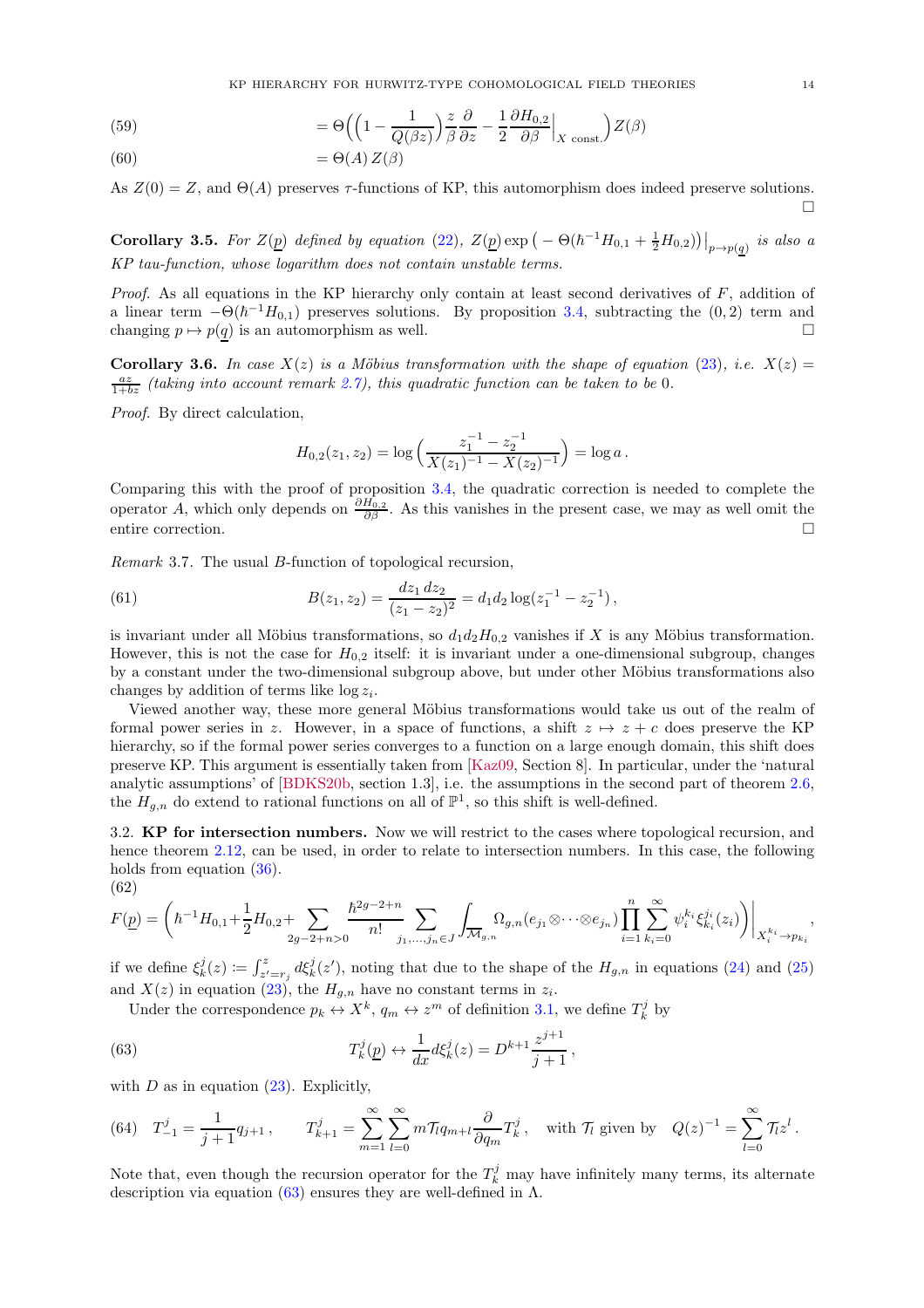(59) 
$$
= \Theta\left(\left(1 - \frac{1}{Q(\beta z)}\right)\frac{z}{\beta}\frac{\partial}{\partial z} - \frac{1}{2}\frac{\partial H_{0,2}}{\partial \beta}\Big|_{X \text{ const.}}\right)Z(\beta)
$$

(60) 
$$
= \Theta(A) Z(\beta)
$$

As  $Z(0) = Z$ , and  $\Theta(A)$  preserves  $\tau$ -functions of KP, this automorphism does indeed preserve solutions. П

<span id="page-13-1"></span>**Corollary 3.5.** For  $Z(\underline{p})$  defined by equation [\(22\)](#page-6-1),  $Z(\underline{p}) \exp(-\Theta(\hbar^{-1}H_{0,1} + \frac{1}{2}H_{0,2}))\Big|_{p\to p(\underline{q})}$  is also a KP tau-function, whose logarithm does not contain unstable terms.

*Proof.* As all equations in the KP hierarchy only contain at least second derivatives of  $F$ , addition of a linear term  $-\Theta(\hbar^{-1}H_{0,1})$  preserves solutions. By proposition [3.4,](#page-12-0) subtracting the  $(0, 2)$  term and changing  $p \mapsto p(q)$  is an automorphism as well.

<span id="page-13-2"></span>Corollary 3.6. In case  $X(z)$  is a Möbius transformation with the shape of equation [\(23\)](#page-6-3), i.e.  $X(z) =$  $\frac{az}{1+bz}$  (taking into account remark [2.7\)](#page-6-4), this quadratic function can be taken to be 0.

Proof. By direct calculation,

$$
H_{0,2}(z_1, z_2) = \log \left( \frac{z_1^{-1} - z_2^{-1}}{X(z_1)^{-1} - X(z_2)^{-1}} \right) = \log a.
$$

Comparing this with the proof of proposition [3.4,](#page-12-0) the quadratic correction is needed to complete the operator A, which only depends on  $\frac{\partial H_{0,2}}{\partial \beta}$ . As this vanishes in the present case, we may as well omit the entire correction.

Remark 3.7. The usual B-function of topological recursion,

(61) 
$$
B(z_1, z_2) = \frac{dz_1 dz_2}{(z_1 - z_2)^2} = d_1 d_2 \log(z_1^{-1} - z_2^{-1}),
$$

is invariant under all Möbius transformations, so  $d_1d_2H_{0,2}$  vanishes if X is any Möbius transformation. However, this is not the case for  $H_{0,2}$  itself: it is invariant under a one-dimensional subgroup, changes by a constant under the two-dimensional subgroup above, but under other Möbius transformations also changes by addition of terms like  $\log z_i$ .

Viewed another way, these more general Möbius transformations would take us out of the realm of formal power series in z. However, in a space of functions, a shift  $z \mapsto z + c$  does preserve the KP hierarchy, so if the formal power series converges to a function on a large enough domain, this shift does preserve KP. This argument is essentially taken from [\[Kaz09,](#page-19-2) Section 8]. In particular, under the 'natural analytic assumptions' of [\[BDKS20b,](#page-17-3) section 1.3], i.e. the assumptions in the second part of theorem [2.6,](#page-5-1) the  $H_{g,n}$  do extend to rational functions on all of  $\mathbb{P}^1$ , so this shift is well-defined.

<span id="page-13-0"></span>3.2. KP for intersection numbers. Now we will restrict to the cases where topological recursion, and hence theorem [2.12,](#page-7-1) can be used, in order to relate to intersection numbers. In this case, the following holds from equation  $(36)$ .

(62)

$$
F(\underline{p}) = \left(\hbar^{-1}H_{0,1} + \frac{1}{2}H_{0,2} + \sum_{2g-2+n>0} \frac{\hbar^{2g-2+n}}{n!} \sum_{j_1,\dots,j_n \in J} \int_{\overline{\mathcal{M}}_{g,n}} \Omega_{g,n}(e_{j_1} \otimes \dots \otimes e_{j_n}) \prod_{i=1}^n \sum_{k_i=0}^\infty \psi_i^{k_i} \xi_{k_i}^{j_i}(z_i) \right)\Big|_{X_i^{k_i} \to p_{k_i}},
$$

if we define  $\xi_k^j(z) \coloneqq \int_{z'=r_j}^z d\xi_k^j(z')$ , noting that due to the shape of the  $H_{g,n}$  in equations [\(24\)](#page-6-5) and [\(25\)](#page-6-6) and  $X(z)$  in equation [\(23\)](#page-6-3), the  $H_{g,n}$  have no constant terms in  $z_i$ .

<span id="page-13-3"></span>,

Under the correspondence  $p_k \leftrightarrow X^k$ ,  $q_m \leftrightarrow z^m$  of definition [3.1,](#page-11-3) we define  $T_k^j$  by

(63) 
$$
T_k^j(\underline{p}) \leftrightarrow \frac{1}{dx} d\xi_k^j(z) = D^{k+1} \frac{z^{j+1}}{j+1}
$$

with  $D$  as in equation  $(23)$ . Explicitly,

(64) 
$$
T_{-1}^j = \frac{1}{j+1} q_{j+1}
$$
,  $T_{k+1}^j = \sum_{m=1}^{\infty} \sum_{l=0}^{\infty} m \mathcal{T}_l q_{m+l} \frac{\partial}{\partial q_m} T_k^j$ , with  $\mathcal{T}_l$  given by  $Q(z)^{-1} = \sum_{l=0}^{\infty} \mathcal{T}_l z^l$ .

Note that, even though the recursion operator for the  $T_k^j$  may have infinitely many terms, its alternate description via equation [\(63\)](#page-13-3) ensures they are well-defined in  $\Lambda$ .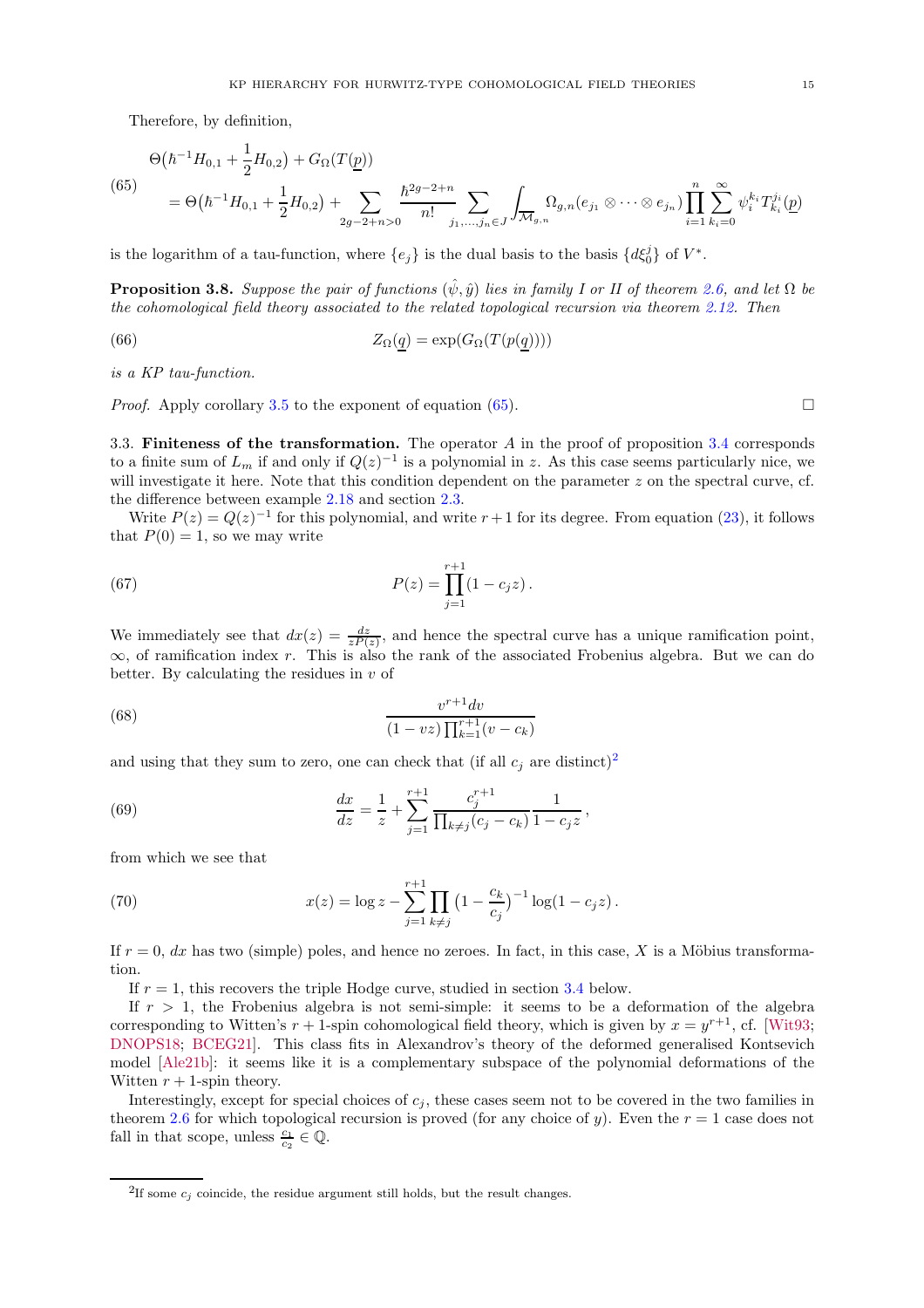Therefore, by definition,

<span id="page-14-2"></span>
$$
\Theta(\hbar^{-1}H_{0,1} + \frac{1}{2}H_{0,2}) + G_{\Omega}(T(\underline{p}))
$$
\n
$$
= \Theta(\hbar^{-1}H_{0,1} + \frac{1}{2}H_{0,2}) + \sum_{2g-2+n>0} \frac{\hbar^{2g-2+n}}{n!} \sum_{j_1,\dots,j_n \in J} \int_{\overline{\mathcal{M}}_{g,n}} \Omega_{g,n}(e_{j_1} \otimes \dots \otimes e_{j_n}) \prod_{i=1}^n \sum_{k_i=0}^{\infty} \psi_i^{k_i} T_{k_i}^{j_i}(\underline{p})
$$

<span id="page-14-1"></span>is the logarithm of a tau-function, where  $\{e_j\}$  is the dual basis to the basis  $\{d\xi_0^j\}$  of  $V^*$ .

**Proposition 3.8.** Suppose the pair of functions  $(\hat{\psi}, \hat{y})$  lies in family I or II of theorem [2.6,](#page-5-1) and let  $\Omega$  be the cohomological field theory associated to the related topological recursion via theorem [2.12.](#page-7-1) Then

(66) 
$$
Z_{\Omega}(q) = \exp(G_{\Omega}(T(p(q))))
$$

is a KP tau-function.

*Proof.* Apply corollary [3.5](#page-13-1) to the exponent of equation [\(65\)](#page-14-2).

<span id="page-14-0"></span>3.3. Finiteness of the transformation. The operator  $A$  in the proof of proposition [3.4](#page-12-0) corresponds to a finite sum of  $L_m$  if and only if  $Q(z)^{-1}$  is a polynomial in z. As this case seems particularly nice, we will investigate it here. Note that this condition dependent on the parameter  $z$  on the spectral curve, cf. the difference between example [2.18](#page-8-1) and section [2.3.](#page-4-0)

Write  $P(z) = Q(z)^{-1}$  for this polynomial, and write  $r + 1$  for its degree. From equation [\(23\)](#page-6-3), it follows that  $P(0) = 1$ , so we may write

(67) 
$$
P(z) = \prod_{j=1}^{r+1} (1 - c_j z).
$$

We immediately see that  $dx(z) = \frac{dz}{zP(z)}$ , and hence the spectral curve has a unique ramification point,  $\infty$ , of ramification index r. This is also the rank of the associated Frobenius algebra. But we can do better. By calculating the residues in  $v$  of

(68) 
$$
\frac{v^{r+1}dv}{(1-vz)\prod_{k=1}^{r+1}(v-c_k)}
$$

and using that they sum to zero, one can check that (if all  $c_i$  are distinct)<sup>[2](#page-14-3)</sup>

(69) 
$$
\frac{dx}{dz} = \frac{1}{z} + \sum_{j=1}^{r+1} \frac{c_j^{r+1}}{\prod_{k \neq j} (c_j - c_k)} \frac{1}{1 - c_j z},
$$

from which we see that

(70) 
$$
x(z) = \log z - \sum_{j=1}^{r+1} \prod_{k \neq j} \left(1 - \frac{c_k}{c_j}\right)^{-1} \log(1 - c_j z).
$$

If  $r = 0$ , dx has two (simple) poles, and hence no zeroes. In fact, in this case, X is a Möbius transformation.

If  $r = 1$ , this recovers the triple Hodge curve, studied in section [3.4](#page-15-0) below.

If  $r > 1$ , the Frobenius algebra is not semi-simple: it seems to be a deformation of the algebra corresponding to Witten's  $r + 1$ -spin cohomological field theory, which is given by  $x = y^{r+1}$ , cf. [\[Wit93;](#page-20-7) [DNOPS18;](#page-18-18) [BCEG21\]](#page-17-10). This class fits in Alexandrov's theory of the deformed generalised Kontsevich model [\[Ale21b\]](#page-17-6): it seems like it is a complementary subspace of the polynomial deformations of the Witten  $r + 1$ -spin theory.

Interestingly, except for special choices of  $c_j$ , these cases seem not to be covered in the two families in theorem [2.6](#page-5-1) for which topological recursion is proved (for any choice of y). Even the  $r = 1$  case does not fall in that scope, unless  $\frac{c_1}{c_2} \in \mathbb{Q}$ .

<span id="page-14-3"></span><sup>&</sup>lt;sup>2</sup>If some  $c_j$  coincide, the residue argument still holds, but the result changes.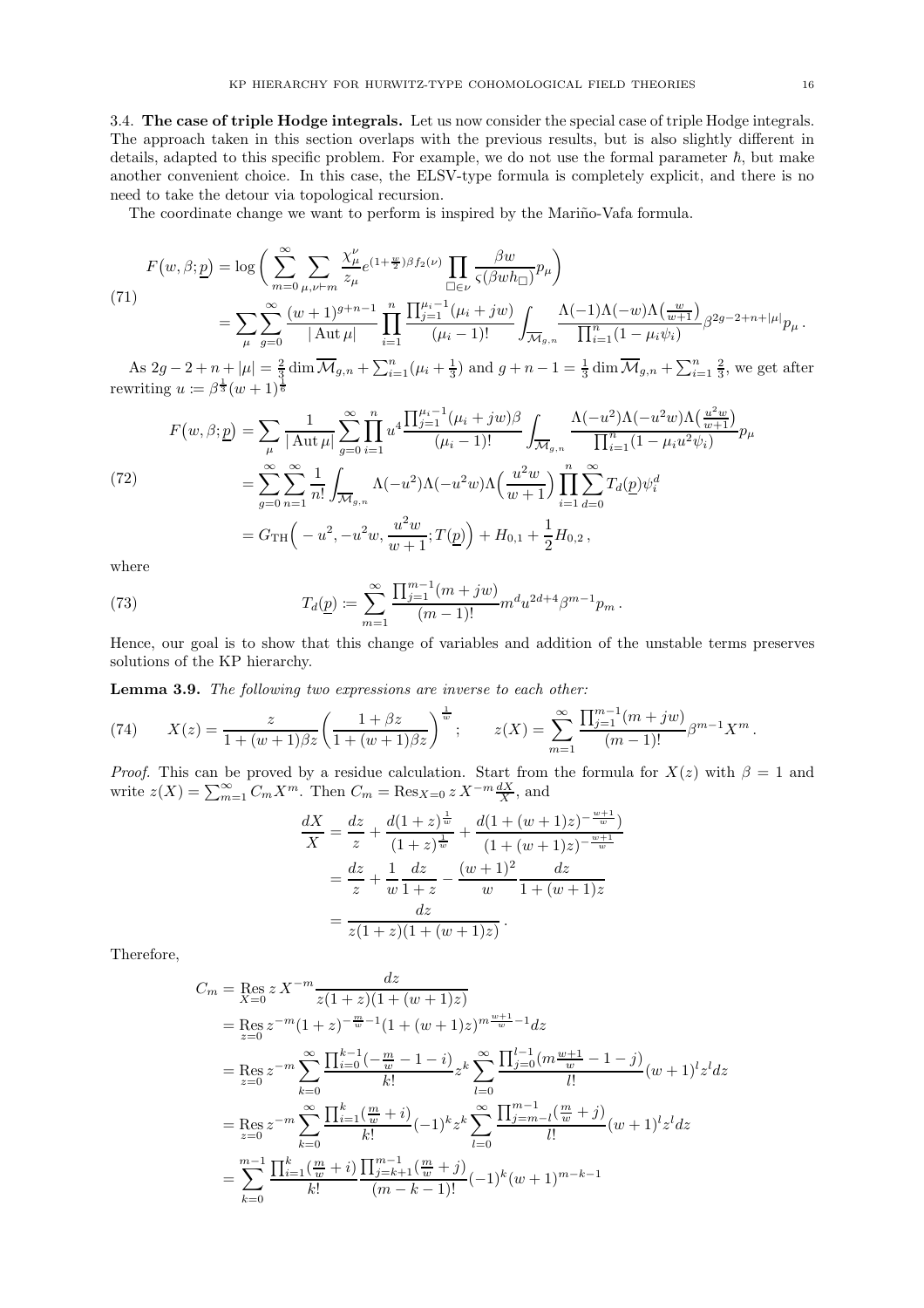<span id="page-15-0"></span>3.4. The case of triple Hodge integrals. Let us now consider the special case of triple Hodge integrals. The approach taken in this section overlaps with the previous results, but is also slightly different in details, adapted to this specific problem. For example, we do not use the formal parameter  $\hbar$ , but make another convenient choice. In this case, the ELSV-type formula is completely explicit, and there is no need to take the detour via topological recursion.

The coordinate change we want to perform is inspired by the Mariño-Vafa formula.

$$
F(w, \beta; \underline{p}) = \log \left( \sum_{m=0}^{\infty} \sum_{\mu, \nu \vdash m} \frac{\chi_{\mu}^{\nu}}{z_{\mu}} e^{(1+\frac{w}{2})\beta f_2(\nu)} \prod_{\Box \in \nu} \frac{\beta w}{\varsigma(\beta w h_{\Box})} p_{\mu} \right)
$$
  
\n(71)  
\n
$$
= \sum_{\mu} \sum_{g=0}^{\infty} \frac{(w+1)^{g+n-1}}{|\mathrm{Aut} \mu|} \prod_{i=1}^{n} \frac{\prod_{j=1}^{\mu_{i}-1} (\mu_{i}+jw)}{(\mu_{i}-1)!} \int_{\overline{\mathcal{M}}_{g,n}} \frac{\Lambda(-1)\Lambda(-w)\Lambda(\frac{w}{w+1})}{\prod_{i=1}^{n} (1-\mu_{i}\psi_{i})} \beta^{2g-2+n+|\mu|} p_{\mu}.
$$

As  $2g - 2 + n + |\mu| = \frac{2}{3} \dim \overline{\mathcal{M}}_{g,n} + \sum_{i=1}^{n} (\mu_i + \frac{1}{3})$  and  $g + n - 1 = \frac{1}{3} \dim \overline{\mathcal{M}}_{g,n} + \sum_{i=1}^{n} \frac{2}{3}$ , we get after rewriting  $u \coloneqq \beta^{\frac{1}{3}}(w+1)^{\frac{1}{6}}$ 

<span id="page-15-2"></span>
$$
F(w, \beta; \underline{p}) = \sum_{\mu} \frac{1}{|\operatorname{Aut} \mu|} \sum_{g=0}^{\infty} \prod_{i=1}^{n} u^4 \frac{\prod_{j=1}^{\mu_i - 1} (\mu_i + jw)\beta}{(\mu_i - 1)!} \int_{\overline{\mathcal{M}}_{g,n}} \frac{\Lambda(-u^2)\Lambda(-u^2w)\Lambda(\frac{u^2w}{w+1})}{\prod_{i=1}^{n} (1 - \mu_i u^2 \psi_i)} p_{\mu}
$$
  
\n(72)  
\n
$$
= \sum_{g=0}^{\infty} \sum_{n=1}^{\infty} \frac{1}{n!} \int_{\overline{\mathcal{M}}_{g,n}} \Lambda(-u^2)\Lambda(-u^2w)\Lambda(\frac{u^2w}{w+1}) \prod_{i=1}^{n} \sum_{d=0}^{\infty} T_d(\underline{p}) \psi_i^d
$$
  
\n
$$
= G_{\text{TH}}\left(-u^2, -u^2w, \frac{u^2w}{w+1}; T(\underline{p})\right) + H_{0,1} + \frac{1}{2}H_{0,2},
$$

where

(73) 
$$
T_d(\underline{p}) \coloneqq \sum_{m=1}^{\infty} \frac{\prod_{j=1}^{m-1} (m+jw)}{(m-1)!} m^d u^{2d+4} \beta^{m-1} p_m.
$$

<span id="page-15-1"></span>Hence, our goal is to show that this change of variables and addition of the unstable terms preserves solutions of the KP hierarchy.

Lemma 3.9. The following two expressions are inverse to each other:

(74) 
$$
X(z) = \frac{z}{1 + (w+1)\beta z} \left( \frac{1 + \beta z}{1 + (w+1)\beta z} \right)^{\frac{1}{w}}; \qquad z(X) = \sum_{m=1}^{\infty} \frac{\prod_{j=1}^{m-1} (m+jw)}{(m-1)!} \beta^{m-1} X^m.
$$

*Proof.* This can be proved by a residue calculation. Start from the formula for  $X(z)$  with  $\beta = 1$  and write  $z(X) = \sum_{m=1}^{\infty} C_m X^m$ . Then  $C_m = \text{Res}_{X=0} z X^{-m} \frac{dX}{X}$ , and

$$
\frac{dX}{X} = \frac{dz}{z} + \frac{d(1+z)^{\frac{1}{w}}}{(1+z)^{\frac{1}{w}}} + \frac{d(1+(w+1)z)^{-\frac{w+1}{w}}}{(1+(w+1)z)^{-\frac{w+1}{w}}}
$$
\n
$$
= \frac{dz}{z} + \frac{1}{w} \frac{dz}{1+z} - \frac{(w+1)^2}{w} \frac{dz}{1+(w+1)z}
$$
\n
$$
= \frac{dz}{z(1+z)(1+(w+1)z)}.
$$

Therefore,

$$
C_m = \operatorname{Res}_{X=0} z X^{-m} \frac{dz}{z(1+z)(1+(w+1)z)}
$$
  
\n
$$
= \operatorname{Res}_{z=0} z^{-m} (1+z)^{-\frac{m}{w}-1} (1+(w+1)z)^{m\frac{w+1}{w}-1} dz
$$
  
\n
$$
= \operatorname{Res}_{z=0} z^{-m} \sum_{k=0}^{\infty} \frac{\prod_{i=0}^{k-1} (-\frac{m}{w}-1-i)}{k!} z^k \sum_{l=0}^{\infty} \frac{\prod_{j=0}^{l-1} (m\frac{w+1}{w}-1-j)}{l!} (w+1)^l z^l dz
$$
  
\n
$$
= \operatorname{Res}_{z=0} z^{-m} \sum_{k=0}^{\infty} \frac{\prod_{i=1}^{k} (\frac{m}{w}+i)}{k!} (-1)^k z^k \sum_{l=0}^{\infty} \frac{\prod_{j=m-l}^{m-1} (\frac{m}{w}+j)}{l!} (w+1)^l z^l dz
$$
  
\n
$$
= \sum_{k=0}^{m-1} \frac{\prod_{i=1}^{k} (\frac{m}{w}+i)}{k!} \frac{\prod_{j=k+1}^{m-1} (\frac{m}{w}+j)}{(m-k-1)!} (-1)^k (w+1)^{m-k-1}
$$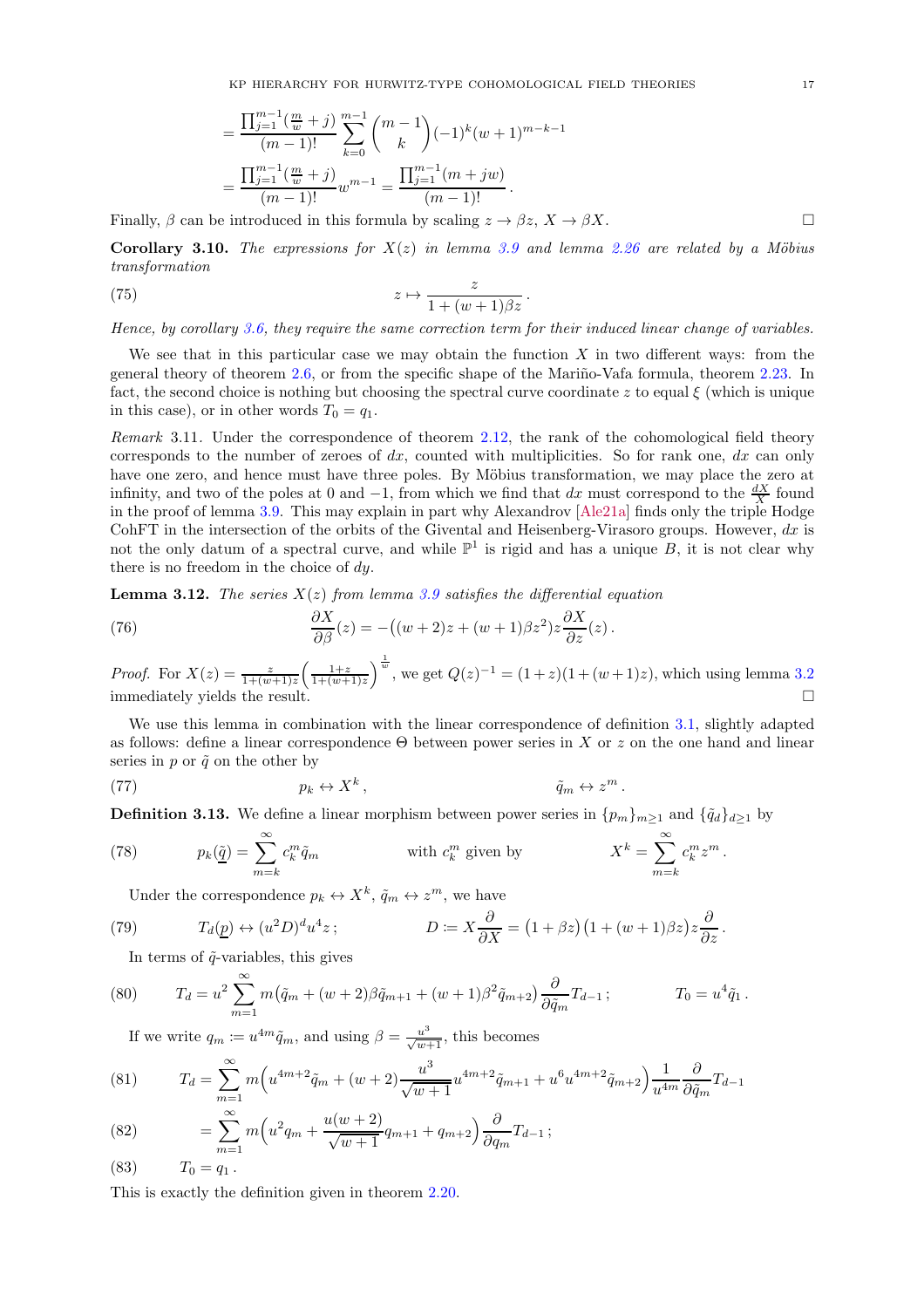$$
= \frac{\prod_{j=1}^{m-1} \left(\frac{m}{w} + j\right)}{(m-1)!} \sum_{k=0}^{m-1} {m-1 \choose k} (-1)^k (w+1)^{m-k-1}
$$
  
= 
$$
\frac{\prod_{j=1}^{m-1} \left(\frac{m}{w} + j\right)}{(m-1)!} w^{m-1} = \frac{\prod_{j=1}^{m-1} (m+jw)}{(m-1)!}.
$$

Finally,  $\beta$  can be introduced in this formula by scaling  $z \to \beta z$ ,  $X \to \beta X$ .

Corollary 3.10. The expressions for  $X(z)$  in lemma [3.9](#page-15-1) and lemma [2.26](#page-10-1) are related by a Möbius transformation

(75) 
$$
z \mapsto \frac{z}{1 + (w+1)\beta z}.
$$

Hence, by corollary [3.6,](#page-13-2) they require the same correction term for their induced linear change of variables.

We see that in this particular case we may obtain the function  $X$  in two different ways: from the general theory of theorem [2.6,](#page-5-1) or from the specific shape of the Mariño-Vafa formula, theorem [2.23.](#page-10-2) In fact, the second choice is nothing but choosing the spectral curve coordinate z to equal  $\xi$  (which is unique in this case), or in other words  $T_0 = q_1$ .

Remark 3.11. Under the correspondence of theorem [2.12,](#page-7-1) the rank of the cohomological field theory corresponds to the number of zeroes of  $dx$ , counted with multiplicities. So for rank one,  $dx$  can only have one zero, and hence must have three poles. By Möbius transformation, we may place the zero at infinity, and two of the poles at 0 and  $-1$ , from which we find that dx must correspond to the  $\frac{dX}{X}$  found in the proof of lemma [3.9.](#page-15-1) This may explain in part why Alexandrov [\[Ale21a](#page-17-5)] finds only the triple Hodge CohFT in the intersection of the orbits of the Givental and Heisenberg-Virasoro groups. However,  $dx$  is not the only datum of a spectral curve, and while  $\mathbb{P}^1$  is rigid and has a unique B, it is not clear why there is no freedom in the choice of dy.

**Lemma 3.12.** The series  $X(z)$  from lemma [3.9](#page-15-1) satisfies the differential equation

(76) 
$$
\frac{\partial X}{\partial \beta}(z) = -\left((w+2)z + (w+1)\beta z^2\right)z\frac{\partial X}{\partial z}(z).
$$

*Proof.* For  $X(z) = \frac{z}{1+(w+1)z} \left( \frac{1+z}{1+(w+1)z} \right)^{\frac{1}{w}}$ , we get  $Q(z)^{-1} = (1+z)(1+(w+1)z)$ , which using lemma [3.2](#page-11-4) immediately yields the result.

We use this lemma in combination with the linear correspondence of definition [3.1,](#page-11-3) slightly adapted as follows: define a linear correspondence  $\Theta$  between power series in X or z on the one hand and linear series in p or  $\tilde{q}$  on the other by

(77) 
$$
p_k \leftrightarrow X^k, \qquad \tilde{q}_m \leftrightarrow z^m.
$$

**Definition 3.13.** We define a linear morphism between power series in  $\{p_m\}_{m\geq 1}$  and  $\{\tilde{q}_d\}_{d\geq 1}$  by

(78) 
$$
p_k(\underline{\tilde{q}}) = \sum_{m=k}^{\infty} c_k^m \tilde{q}_m \qquad \text{with } c_k^m \text{ given by } X^k = \sum_{m=k}^{\infty} c_k^m z^m.
$$

Under the correspondence  $p_k \leftrightarrow X^k$ ,  $\tilde{q}_m \leftrightarrow z^m$ , we have

(79) 
$$
T_d(\underline{p}) \leftrightarrow (u^2 D)^d u^4 z ; \qquad D := X \frac{\partial}{\partial X} = (1 + \beta z)(1 + (w + 1)\beta z) z \frac{\partial}{\partial z}.
$$

In terms of  $\tilde{q}$ -variables, this gives

(80) 
$$
T_d = u^2 \sum_{m=1}^{\infty} m(\tilde{q}_m + (w+2)\beta \tilde{q}_{m+1} + (w+1)\beta^2 \tilde{q}_{m+2}) \frac{\partial}{\partial \tilde{q}_m} T_{d-1}; \qquad T_0 = u^4 \tilde{q}_1.
$$

If we write  $q_m \coloneqq u^{4m} \tilde{q}_m$ , and using  $\beta = \frac{u^3}{\sqrt{w+1}}$ , this becomes

(81) 
$$
T_d = \sum_{m=1}^{\infty} m \left( u^{4m+2} \tilde{q}_m + (w+2) \frac{u^3}{\sqrt{w+1}} u^{4m+2} \tilde{q}_{m+1} + u^6 u^{4m+2} \tilde{q}_{m+2} \right) \frac{1}{u^{4m}} \frac{\partial}{\partial \tilde{q}_m} T_{d-1}
$$

(82) 
$$
= \sum_{m=1}^{\infty} m \left( u^2 q_m + \frac{u(w+2)}{\sqrt{w+1}} q_{m+1} + q_{m+2} \right) \frac{\partial}{\partial q_m} T_{d-1};
$$

$$
(83) \t T_0 = q_1.
$$

<span id="page-16-0"></span>This is exactly the definition given in theorem [2.20.](#page-9-1)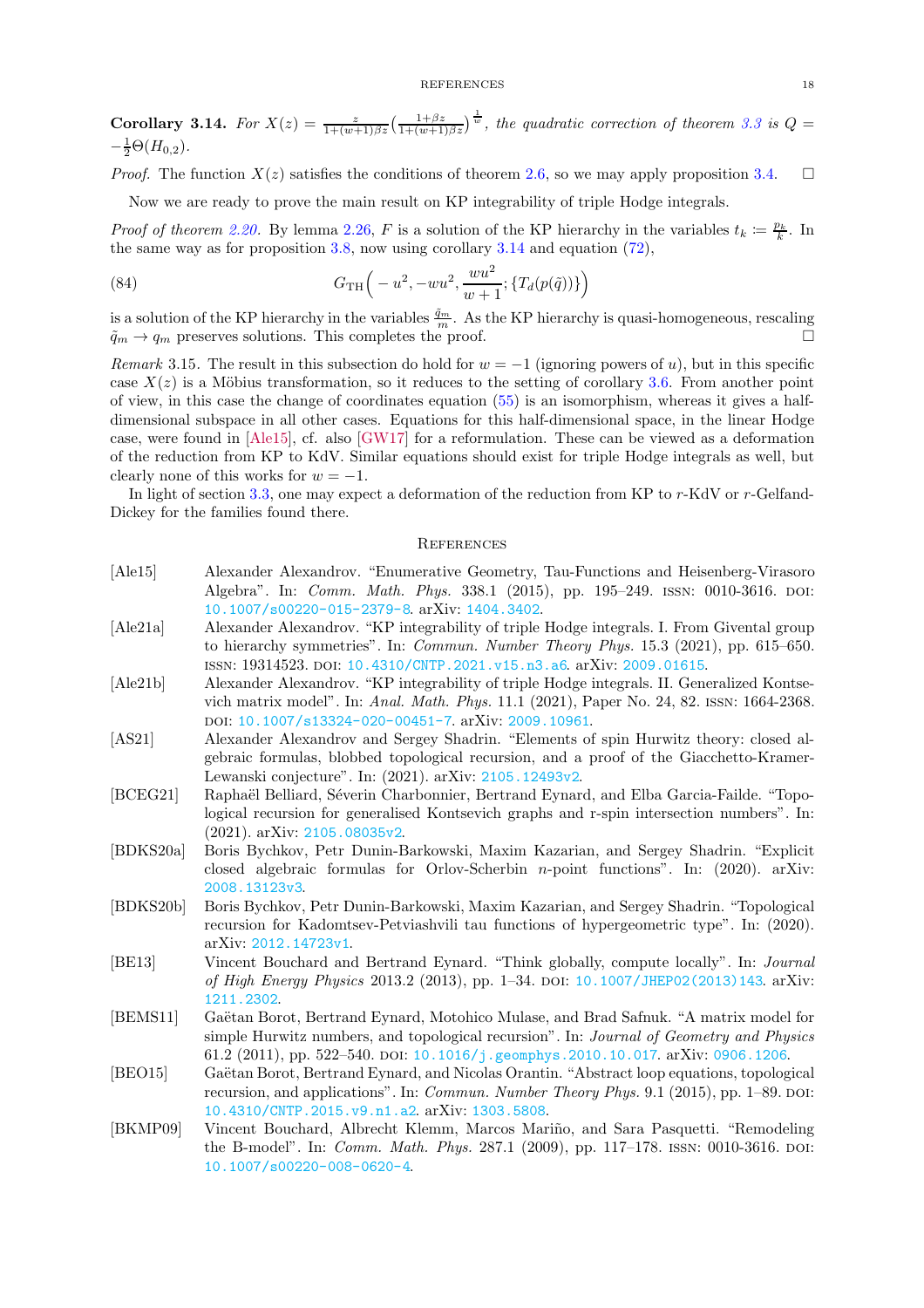**Corollary 3.14.** For  $X(z) = \frac{z}{1+(w+1)\beta z} \left(\frac{1+\beta z}{1+(w+1)\beta z}\right)^{\frac{1}{w}}$ , the quadratic correction of theorem [3.3](#page-12-1) is  $Q =$  $-\frac{1}{2}\Theta(H_{0,2}).$ 

*Proof.* The function  $X(z)$  satisfies the conditions of theorem [2.6,](#page-5-1) so we may apply proposition [3.4.](#page-12-0)  $\square$ 

Now we are ready to prove the main result on KP integrability of triple Hodge integrals.

*Proof of theorem [2.20.](#page-9-1)* By lemma [2.26,](#page-10-1) F is a solution of the KP hierarchy in the variables  $t_k \coloneqq \frac{p_k}{k}$ . In the same way as for proposition [3.8,](#page-14-1) now using corollary [3.14](#page-16-0) and equation [\(72\)](#page-15-2),

(84) 
$$
G_{\text{TH}}\left(-u^2, -wu^2, \frac{wu^2}{w+1}; \{T_d(p(\tilde{q}))\}\right)
$$

is a solution of the KP hierarchy in the variables  $\frac{\tilde{q}_m}{m}$ . As the KP hierarchy is quasi-homogeneous, rescaling  $\tilde{q}_m \to q_m$  preserves solutions. This completes the proof.

Remark 3.15. The result in this subsection do hold for  $w = -1$  (ignoring powers of u), but in this specific case  $X(z)$  is a Möbius transformation, so it reduces to the setting of corollary [3.6.](#page-13-2) From another point of view, in this case the change of coordinates equation [\(55\)](#page-11-2) is an isomorphism, whereas it gives a halfdimensional subspace in all other cases. Equations for this half-dimensional space, in the linear Hodge case, were found in [\[Ale15\]](#page-17-11), cf. also [\[GW17\]](#page-19-19) for a reformulation. These can be viewed as a deformation of the reduction from KP to KdV. Similar equations should exist for triple Hodge integrals as well, but clearly none of this works for  $w = -1$ .

In light of section [3.3,](#page-14-0) one may expect a deformation of the reduction from KP to r-KdV or r-Gelfand-Dickey for the families found there.

#### <span id="page-17-0"></span>**REFERENCES**

- <span id="page-17-11"></span>[Ale15] Alexander Alexandrov. "Enumerative Geometry, Tau-Functions and Heisenberg-Virasoro Algebra". In: Comm. Math. Phys. 338.1 (2015), pp. 195–249. issn: 0010-3616. doi: [10.1007/s00220-015-2379-8](https://doi.org/10.1007/s00220-015-2379-8). arXiv: [1404.3402](https://arxiv.org/abs/1404.3402).
- <span id="page-17-5"></span>[Ale21a] Alexander Alexandrov. "KP integrability of triple Hodge integrals. I. From Givental group to hierarchy symmetries". In: Commun. Number Theory Phys. 15.3 (2021), pp. 615–650. issn: 19314523. doi: [10.4310/CNTP.2021.v15.n3.a6](https://doi.org/10.4310/CNTP.2021.v15.n3.a6). arXiv: [2009.01615](https://arxiv.org/abs/2009.01615).
- <span id="page-17-6"></span>[Ale21b] Alexander Alexandrov. "KP integrability of triple Hodge integrals. II. Generalized Kontsevich matrix model". In: Anal. Math. Phys. 11.1 (2021), Paper No. 24, 82. issn: 1664-2368. doi: [10.1007/s13324-020-00451-7](https://doi.org/10.1007/s13324-020-00451-7). arXiv: [2009.10961](https://arxiv.org/abs/2009.10961).
- <span id="page-17-7"></span>[AS21] Alexander Alexandrov and Sergey Shadrin. "Elements of spin Hurwitz theory: closed algebraic formulas, blobbed topological recursion, and a proof of the Giacchetto-Kramer-Lewanski conjecture". In: (2021). arXiv: [2105.12493v2](https://arxiv.org/abs/2105.12493v2).
- <span id="page-17-10"></span>[BCEG21] Raphaël Belliard, Séverin Charbonnier, Bertrand Eynard, and Elba Garcia-Failde. "Topological recursion for generalised Kontsevich graphs and r-spin intersection numbers". In: (2021). arXiv: [2105.08035v2](https://arxiv.org/abs/2105.08035v2).
- <span id="page-17-2"></span>[BDKS20a] Boris Bychkov, Petr Dunin-Barkowski, Maxim Kazarian, and Sergey Shadrin. "Explicit closed algebraic formulas for Orlov-Scherbin n-point functions". In: (2020). arXiv: [2008.13123v3](https://arxiv.org/abs/2008.13123v3).
- <span id="page-17-3"></span>[BDKS20b] Boris Bychkov, Petr Dunin-Barkowski, Maxim Kazarian, and Sergey Shadrin. "Topological recursion for Kadomtsev-Petviashvili tau functions of hypergeometric type". In: (2020). arXiv: [2012.14723v1](https://arxiv.org/abs/2012.14723v1).
- <span id="page-17-8"></span>[BE13] Vincent Bouchard and Bertrand Eynard. "Think globally, compute locally". In: Journal of High Energy Physics 2013.2 (2013), pp. 1–34. DOI: [10.1007/JHEP02\(2013\)143](https://doi.org/10.1007/JHEP02(2013)143). arXiv: [1211.2302](https://arxiv.org/abs/1211.2302).
- <span id="page-17-1"></span>[BEMS11] Gaëtan Borot, Bertrand Eynard, Motohico Mulase, and Brad Safnuk. "A matrix model for simple Hurwitz numbers, and topological recursion". In: Journal of Geometry and Physics 61.2 (2011), pp. 522–540. doi: [10.1016/j.geomphys.2010.10.017](https://doi.org/10.1016/j.geomphys.2010.10.017). arXiv: [0906.1206](https://arxiv.org/abs/0906.1206).
- <span id="page-17-9"></span>[BEO15] Gaëtan Borot, Bertrand Eynard, and Nicolas Orantin. "Abstract loop equations, topological recursion, and applications". In: *Commun. Number Theory Phys.* 9.1 (2015), pp. 1–89. DOI: [10.4310/CNTP.2015.v9.n1.a2](https://doi.org/10.4310/CNTP.2015.v9.n1.a2). arXiv: [1303.5808](https://arxiv.org/abs/1303.5808).
- <span id="page-17-4"></span>[BKMP09] Vincent Bouchard, Albrecht Klemm, Marcos Mariño, and Sara Pasquetti. "Remodeling the B-model". In: *Comm. Math. Phys.* 287.1 (2009), pp. 117–178. ISSN: 0010-3616. DOI: [10.1007/s00220-008-0620-4](https://doi.org/10.1007/s00220-008-0620-4).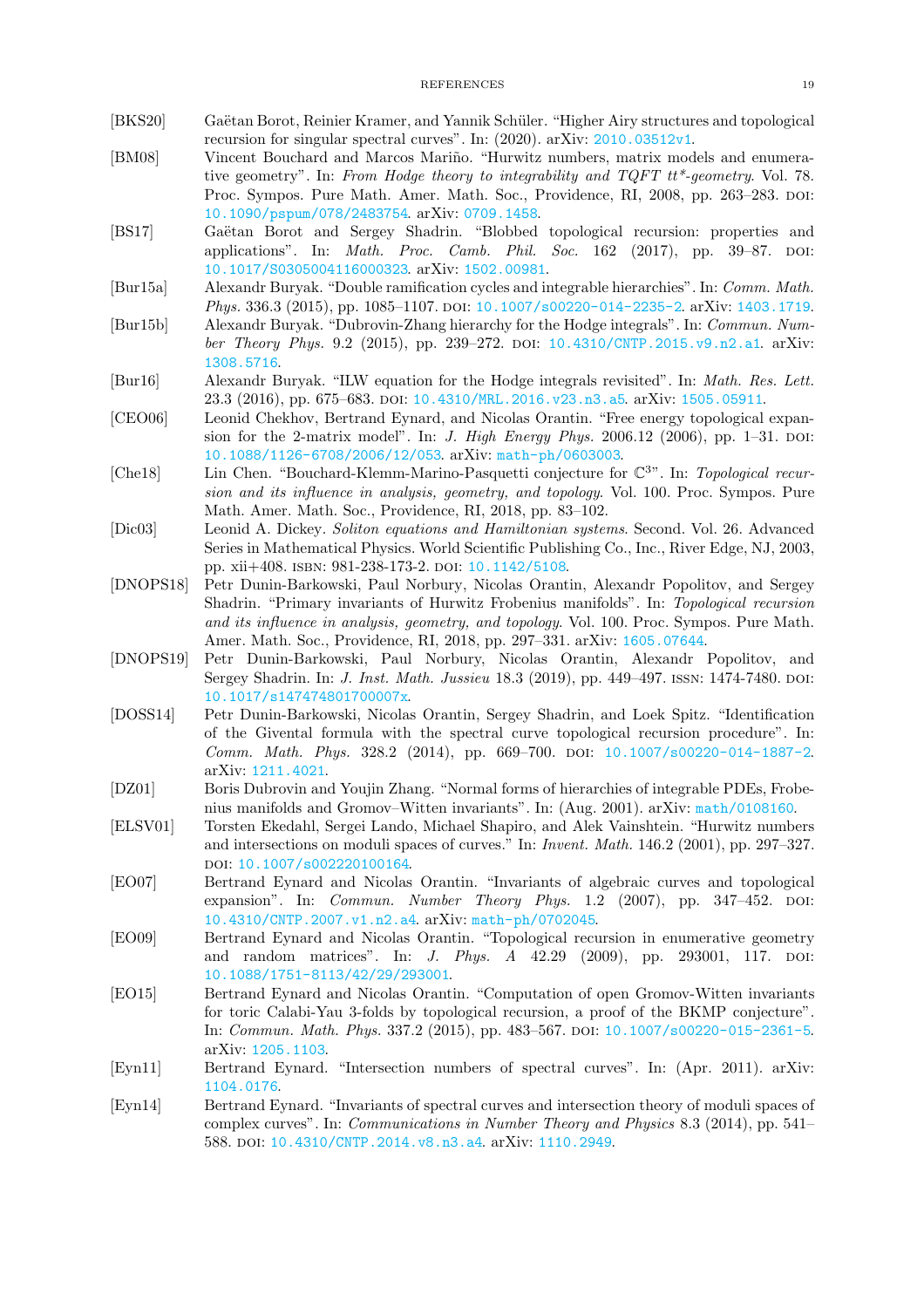- <span id="page-18-16"></span><span id="page-18-3"></span>[BKS20] Gaëtan Borot, Reinier Kramer, and Yannik Schüler. "Higher Airy structures and topological recursion for singular spectral curves". In: (2020). arXiv: [2010.03512v1](https://arxiv.org/abs/2010.03512v1).
- [BM08] Vincent Bouchard and Marcos Mariño. "Hurwitz numbers, matrix models and enumerative geometry". In: From Hodge theory to integrability and TQFT tt\*-geometry. Vol. 78. Proc. Sympos. Pure Math. Amer. Math. Soc., Providence, RI, 2008, pp. 263–283. doi: [10.1090/pspum/078/2483754](https://doi.org/10.1090/pspum/078/2483754). arXiv: [0709.1458](https://arxiv.org/abs/0709.1458).
- <span id="page-18-14"></span>[BS17] Gaëtan Borot and Sergey Shadrin. "Blobbed topological recursion: properties and applications". In: *Math. Proc. Camb. Phil. Soc.*  $162$  (2017), pp.  $39-87$ . DOI: [10.1017/S0305004116000323](https://doi.org/10.1017/S0305004116000323). arXiv: [1502.00981](https://arxiv.org/abs/1502.00981).
- <span id="page-18-10"></span>[Bur15a] Alexandr Buryak. "Double ramification cycles and integrable hierarchies". In: Comm. Math. Phys. 336.3 (2015), pp. 1085-1107. poi: [10.1007/s00220-014-2235-2](https://doi.org/10.1007/s00220-014-2235-2). arXiv: [1403.1719](https://arxiv.org/abs/1403.1719).
- <span id="page-18-11"></span>[Bur15b] Alexandr Buryak. "Dubrovin-Zhang hierarchy for the Hodge integrals". In: Commun. Number Theory Phys. 9.2 (2015), pp. 239–272. doi:  $10.4310/\text{CNTP}$ .2015.v9.n2.a1. arXiv: [1308.5716](https://arxiv.org/abs/1308.5716).
- <span id="page-18-12"></span>[Bur16] Alexandr Buryak. "ILW equation for the Hodge integrals revisited". In: Math. Res. Lett. 23.3 (2016), pp. 675–683. doi: [10.4310/MRL.2016.v23.n3.a5](https://doi.org/10.4310/MRL.2016.v23.n3.a5). arXiv: [1505.05911](https://arxiv.org/abs/1505.05911).
- <span id="page-18-1"></span>[CEO06] Leonid Chekhov, Bertrand Eynard, and Nicolas Orantin. "Free energy topological expansion for the 2-matrix model". In: *J. High Energy Phys.* 2006.12 (2006), pp. 1-31. DOI: [10.1088/1126-6708/2006/12/053](https://doi.org/10.1088/1126-6708/2006/12/053). arXiv: [math-ph/0603003](https://arxiv.org/abs/math-ph/0603003).
- <span id="page-18-6"></span>[Che18] Lin Chen. "Bouchard-Klemm-Marino-Pasquetti conjecture for  $\mathbb{C}^{3}$ ". In: Topological recursion and its influence in analysis, geometry, and topology. Vol. 100. Proc. Sympos. Pure Math. Amer. Math. Soc., Providence, RI, 2018, pp. 83–102.
- <span id="page-18-13"></span>[Dic03] Leonid A. Dickey. Soliton equations and Hamiltonian systems. Second. Vol. 26. Advanced Series in Mathematical Physics. World Scientific Publishing Co., Inc., River Edge, NJ, 2003, pp. xii+408. ISBN: 981-238-173-2. DOI: [10.1142/5108](https://doi.org/10.1142/5108).
- <span id="page-18-18"></span>[DNOPS18] Petr Dunin-Barkowski, Paul Norbury, Nicolas Orantin, Alexandr Popolitov, and Sergey Shadrin. "Primary invariants of Hurwitz Frobenius manifolds". In: Topological recursion and its influence in analysis, geometry, and topology. Vol. 100. Proc. Sympos. Pure Math. Amer. Math. Soc., Providence, RI, 2018, pp. 297–331. arXiv: [1605.07644](https://arxiv.org/abs/1605.07644).
- <span id="page-18-17"></span>[DNOPS19] Petr Dunin-Barkowski, Paul Norbury, Nicolas Orantin, Alexandr Popolitov, and Sergey Shadrin. In: *J. Inst. Math. Jussieu* 18.3 (2019), pp. 449–497. ISSN: 1474-7480. DOI: [10.1017/s147474801700007x](https://doi.org/10.1017/s147474801700007x).
- <span id="page-18-5"></span>[DOSS14] Petr Dunin-Barkowski, Nicolas Orantin, Sergey Shadrin, and Loek Spitz. "Identification of the Givental formula with the spectral curve topological recursion procedure". In: Comm. Math. Phys. 328.2 (2014), pp. 669–700. doi: [10.1007/s00220-014-1887-2](https://doi.org/10.1007/s00220-014-1887-2). arXiv: [1211.4021](https://arxiv.org/abs/1211.4021).
- <span id="page-18-9"></span>[DZ01] Boris Dubrovin and Youjin Zhang. "Normal forms of hierarchies of integrable PDEs, Frobenius manifolds and Gromov–Witten invariants". In: (Aug. 2001). arXiv: [math/0108160](https://arxiv.org/abs/math/0108160).
- <span id="page-18-0"></span>[ELSV01] Torsten Ekedahl, Sergei Lando, Michael Shapiro, and Alek Vainshtein. "Hurwitz numbers and intersections on moduli spaces of curves." In: Invent. Math. 146.2 (2001), pp. 297–327. doi: [10.1007/s002220100164](https://doi.org/10.1007/s002220100164).
- <span id="page-18-2"></span>[EO07] Bertrand Eynard and Nicolas Orantin. "Invariants of algebraic curves and topological expansion". In: *Commun. Number Theory Phys.*  $1.2$  (2007), pp.  $347-452$ . DOI: [10.4310/CNTP.2007.v1.n2.a4](https://doi.org/10.4310/CNTP.2007.v1.n2.a4). arXiv: [math-ph/0702045](https://arxiv.org/abs/math-ph/0702045).
- <span id="page-18-15"></span>[EO09] Bertrand Eynard and Nicolas Orantin. "Topological recursion in enumerative geometry and random matrices". In: *J. Phys. A* 42.29 (2009), pp. 293001, 117. poi: [10.1088/1751-8113/42/29/293001](https://doi.org/10.1088/1751-8113/42/29/293001).
- <span id="page-18-8"></span>[EO15] Bertrand Eynard and Nicolas Orantin. "Computation of open Gromov-Witten invariants for toric Calabi-Yau 3-folds by topological recursion, a proof of the BKMP conjecture". In: Commun. Math. Phys. 337.2 (2015), pp. 483–567. doi: [10.1007/s00220-015-2361-5](https://doi.org/10.1007/s00220-015-2361-5). arXiv: [1205.1103](https://arxiv.org/abs/1205.1103).
- <span id="page-18-7"></span><span id="page-18-4"></span>[Eyn11] Bertrand Eynard. "Intersection numbers of spectral curves". In: (Apr. 2011). arXiv: [1104.0176](https://arxiv.org/abs/1104.0176).
- [Eyn14] Bertrand Eynard. "Invariants of spectral curves and intersection theory of moduli spaces of complex curves". In: Communications in Number Theory and Physics 8.3 (2014), pp. 541– 588. doi: [10.4310/CNTP.2014.v8.n3.a4](https://doi.org/10.4310/CNTP.2014.v8.n3.a4). arXiv: [1110.2949](https://arxiv.org/abs/1110.2949).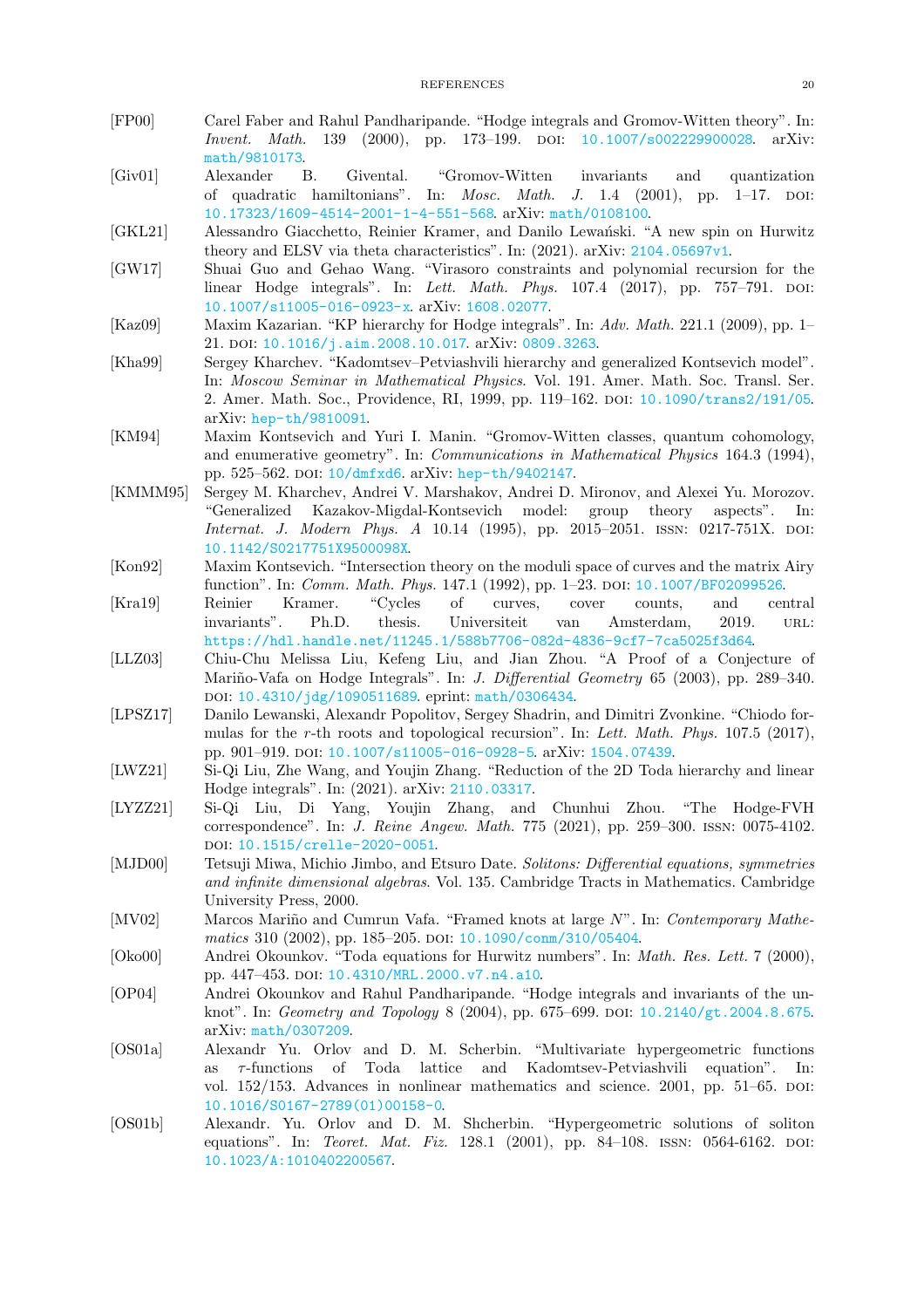- <span id="page-19-18"></span>[FP00] Carel Faber and Rahul Pandharipande. "Hodge integrals and Gromov-Witten theory". In: Invent. Math. 139 (2000), pp. 173–199. doi: [10.1007/s002229900028](https://doi.org/10.1007/s002229900028). arXiv: [math/9810173](https://arxiv.org/abs/math/9810173).
- <span id="page-19-16"></span>[Giv01] Alexander B. Givental. "Gromov-Witten invariants and quantization of quadratic hamiltonians". In: Mosc. Math. J. 1.4 (2001), pp. 1–17. doi: [10.17323/1609-4514-2001-1-4-551-568](https://doi.org/10.17323/1609-4514-2001-1-4-551-568). arXiv: [math/0108100](https://arxiv.org/abs/math/0108100).
- <span id="page-19-8"></span>[GKL21] Alessandro Giacchetto, Reinier Kramer, and Danilo Lewański. "A new spin on Hurwitz theory and ELSV via theta characteristics". In: (2021). arXiv: [2104.05697v1](https://arxiv.org/abs/2104.05697v1).
- <span id="page-19-19"></span>[GW17] Shuai Guo and Gehao Wang. "Virasoro constraints and polynomial recursion for the linear Hodge integrals". In: Lett. Math. Phys. 107.4 (2017), pp. 757-791. DOI: [10.1007/s11005-016-0923-x](https://doi.org/10.1007/s11005-016-0923-x). arXiv: [1608.02077](https://arxiv.org/abs/1608.02077).
- <span id="page-19-2"></span>[Kaz09] Maxim Kazarian. "KP hierarchy for Hodge integrals". In: Adv. Math. 221.1 (2009), pp. 1– 21. DOI: [10.1016/j.aim.2008.10.017](https://doi.org/10.1016/j.aim.2008.10.017). arXiv: [0809.3263](https://arxiv.org/abs/0809.3263).
- <span id="page-19-10"></span>[Kha99] Sergey Kharchev. "Kadomtsev–Petviashvili hierarchy and generalized Kontsevich model". In: Moscow Seminar in Mathematical Physics. Vol. 191. Amer. Math. Soc. Transl. Ser. 2. Amer. Math. Soc., Providence, RI, 1999, pp. 119–162. doi: [10.1090/trans2/191/05](https://doi.org/10.1090/trans2/191/05). arXiv: [hep-th/9810091](https://arxiv.org/abs/hep-th/9810091).
- <span id="page-19-15"></span>[KM94] Maxim Kontsevich and Yuri I. Manin. "Gromov-Witten classes, quantum cohomology, and enumerative geometry". In: Communications in Mathematical Physics 164.3 (1994), pp. 525–562. doi: [10/dmfxd6](https://doi.org/10/dmfxd6). arXiv: [hep-th/9402147](https://arxiv.org/abs/hep-th/9402147).
- <span id="page-19-12"></span>[KMMM95] Sergey M. Kharchev, Andrei V. Marshakov, Andrei D. Mironov, and Alexei Yu. Morozov. "Generalized Kazakov-Migdal-Kontsevich model: group theory aspects". In: Internat. J. Modern Phys. A 10.14 (1995), pp. 2015–2051. ISSN: 0217-751X. DOI: [10.1142/S0217751X9500098X](https://doi.org/10.1142/S0217751X9500098X).
- <span id="page-19-9"></span><span id="page-19-0"></span>[Kon92] Maxim Kontsevich. "Intersection theory on the moduli space of curves and the matrix Airy function". In: Comm. Math. Phys. 147.1 (1992), pp. 1-23. DOI: [10.1007/BF02099526](https://doi.org/10.1007/BF02099526).
- [Kra19] Reinier Kramer. "Cycles of curves, cover counts, and central invariants". Ph.D. thesis. Universiteit van Amsterdam, 2019. url: <https://hdl.handle.net/11245.1/588b7706-082d-4836-9cf7-7ca5025f3d64>.
- <span id="page-19-4"></span>[LLZ03] Chiu-Chu Melissa Liu, Kefeng Liu, and Jian Zhou. "A Proof of a Conjecture of Mariño-Vafa on Hodge Integrals". In: *J. Differential Geometry* 65 (2003), pp. 289–340. doi: [10.4310/jdg/1090511689](https://doi.org/10.4310/jdg/1090511689). eprint: <math/0306434>.
- <span id="page-19-17"></span>[LPSZ17] Danilo Lewanski, Alexandr Popolitov, Sergey Shadrin, and Dimitri Zvonkine. "Chiodo formulas for the r-th roots and topological recursion". In: Lett. Math. Phys. 107.5 (2017), pp. 901–919. doi: [10.1007/s11005-016-0928-5](https://doi.org/10.1007/s11005-016-0928-5). arXiv: [1504.07439](https://arxiv.org/abs/1504.07439).
- <span id="page-19-7"></span>[LWZ21] Si-Qi Liu, Zhe Wang, and Youjin Zhang. "Reduction of the 2D Toda hierarchy and linear Hodge integrals". In: (2021). arXiv: [2110.03317](https://arxiv.org/abs/2110.03317).
- <span id="page-19-6"></span>[LYZZ21] Si-Qi Liu, Di Yang, Youjin Zhang, and Chunhui Zhou. "The Hodge-FVH correspondence". In: J. Reine Angew. Math. 775 (2021), pp. 259–300. issn: 0075-4102. doi: [10.1515/crelle-2020-0051](https://doi.org/10.1515/crelle-2020-0051).
- <span id="page-19-11"></span>[MJD00] Tetsuji Miwa, Michio Jimbo, and Etsuro Date. Solitons: Differential equations, symmetries and infinite dimensional algebras. Vol. 135. Cambridge Tracts in Mathematics. Cambridge University Press, 2000.
- <span id="page-19-3"></span>[MV02] Marcos Mariño and Cumrun Vafa. "Framed knots at large N". In: Contemporary Mathe-matics 310 (2002), pp. 185-205. DOI: [10.1090/conm/310/05404](https://doi.org/10.1090/conm/310/05404).
- <span id="page-19-1"></span>[Oko00] Andrei Okounkov. "Toda equations for Hurwitz numbers". In: Math. Res. Lett. 7 (2000), pp. 447-453. DOI: [10.4310/MRL.2000.v7.n4.a10](https://doi.org/10.4310/MRL.2000.v7.n4.a10).
- <span id="page-19-5"></span>[OP04] Andrei Okounkov and Rahul Pandharipande. "Hodge integrals and invariants of the unknot". In: Geometry and Topology 8 (2004), pp. 675–699. poi:  $10.2140/\text{gt}.2004.8.675$ . arXiv: [math/0307209](https://arxiv.org/abs/math/0307209).
- <span id="page-19-13"></span>[OS01a] Alexandr Yu. Orlov and D. M. Scherbin. "Multivariate hypergeometric functions as  $\tau$ -functions of Toda lattice and Kadomtsev-Petviashvili equation". In: vol.  $152/153$ . Advances in nonlinear mathematics and science.  $2001$ , pp.  $51-65$ . DOI: [10.1016/S0167-2789\(01\)00158-0](https://doi.org/10.1016/S0167-2789(01)00158-0).
- <span id="page-19-14"></span>[OS01b] Alexandr. Yu. Orlov and D. M. Shcherbin. "Hypergeometric solutions of soliton equations". In: Teoret. Mat. Fiz. 128.1 (2001), pp. 84-108. ISSN: 0564-6162. DOI: [10.1023/A:1010402200567](https://doi.org/10.1023/A:1010402200567).